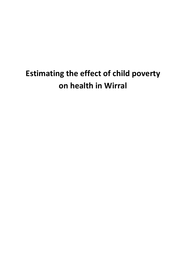# **Estimating the effect of child poverty on health in Wirral**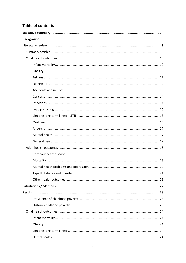## **Table of contents**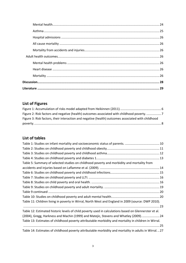## **List of Figures**

| Figure 2: Risk factors and negative (health) outcomes associated with childhood poverty7           |  |
|----------------------------------------------------------------------------------------------------|--|
| Figure 3: Risk factors, their interaction and negative (health) outcomes associated with childhood |  |
|                                                                                                    |  |

## **List of tables**

| Table 5: Summary of selected studies on childhood poverty and morbidity and mortality from            |
|-------------------------------------------------------------------------------------------------------|
|                                                                                                       |
|                                                                                                       |
|                                                                                                       |
|                                                                                                       |
|                                                                                                       |
|                                                                                                       |
|                                                                                                       |
| Table 11: Children living in poverty in Wirral, North West and England in 2009 (source: DWP 2010).    |
|                                                                                                       |
| Table 12: Estimated historic levels of child poverty used in calculations based on Glennerster et al. |
| (2004), Gregg, Harkness and Machin (1999) and Matejic, Stevens and Whatley (2009).  24                |
| Table 13: Estimates of childhood poverty attributable morbidity and mortality in children in Wirral.  |
|                                                                                                       |
| Table 14: Estimates of childhood poverty attributable morbidity and mortality in adults in Wirral27   |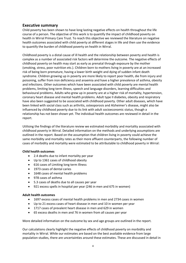## <span id="page-3-0"></span>**Executive summary**

Child poverty has been shown to have long lasting negative effects on health throughout the life course of a person. The objective of this work is to quantify the impact of childhood poverty on health in Wirral Primary Care Trust. To reach this objective we reviewed the literature on negative health outcomes associated with child poverty at different stages in life and then use the evidence to quantify the burden of childhood poverty on health in Wirral.

Childhood poverty is a distal cause of ill health and the relationship between poverty and health is complex as a number of associated risk factors will determine the outcome. The negative effects of childhood poverty on health may start as early as prenatal through exposure by the mother (smoking, stress, poor nutrition etc.). Children born to mothers living in poverty are at an increased risk of being born premature, having a lower birth weight and dying of sudden infant death syndrome. Children growing up in poverty are more likely to report poor health, die from injury and poisoning, suffer from iron deficiency and anaemia and have a higher prevalence of asthma, obesity and infections. Other outcomes which have been associated with child poverty are mental health problems, limiting long term illness, speech and language disorders, learning difficulties and behavioural problems. Adults who grew up in poverty are at a higher risk of mortality, hypertension, coronary heart disease and mental health problems. Adult type II diabetes, obesity and respiratory have also been suggested to be associated with childhood poverty. Other adult diseases, which have been linked with social class such as arthritis, osteoporosis and Alzheimer's disease, might also be influenced by childhood poverty due to its link with adult socioeconomic status, though a relationship has not been shown yet. The individual health outcomes are reviewed in detail in the report.

Utilising the findings of the literature review we estimated morbidity and mortality associated with childhood poverty in Wirral. Detailed information on the methods and underlying assumptions are outlined in the report. Based on the assumption that children living in poverty could achieve the same morbidity and mortality rates as their more affluent counterparts, the following number of cases of morbidity and mortality were estimated to be attributable to childhood poverty in Wirral:

#### **Child health outcomes**

- 2.4 deaths due to infant mortality per year
- Up to 1361 cases of childhood obesity
- 616 cases of Limiting long term Illness
- 1973 cases of dental caries
- 1648 cases of mental health problems
- 978 cases of asthma
- 5.3 cases of deaths due to all causes per year
- 921 excess spells in hospital per year (246 in men and 675 in women)

#### **Adult health outcomes**

- 1697 excess cases of mental health problems in men and 2734 cases in women
- Up to 21 excess cases of heart disease in men and 10 in women per year
- 1717 cases of prevalent heart disease in men and 629 in women
- 65 excess deaths in men and 76 in women from all causes per year

More detailed information on the outcome by sex and age groups are outlined in the report.

Our calculations clearly highlight the negative effects of childhood poverty on morbidity and mortality in Wirral. While our estimates are based on the best available evidence from large population studies, there are uncertainties around these estimates. These are discussed in detail in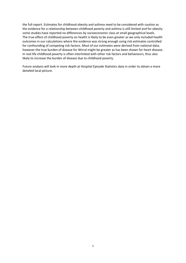the full report. Estimates for childhood obesity and asthma need to be considered with caution as the evidence for a relationship between childhood poverty and asthma is still limited and for obesity some studies have reported no differences by socioeconomic class at small geographical levels. The true effect of childhood poverty on health is likely to be even greater as we only included health outcomes in our calculations where the evidence was strong enough using risk estimates controlled for confounding of competing risk factors. Most of our estimates were derived from national data; however the true burden of disease for Wirral might be greater as has been shown for heart disease. In real life childhood poverty is often interlinked with other risk factors and behaviours, thus also likely to increase the burden of disease due to childhood poverty.

Future analysis will look in more depth at Hospital Episode Statistics data in order to obtain a more detailed local picture.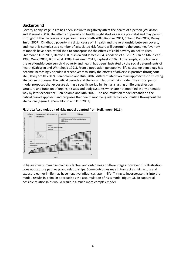## <span id="page-5-0"></span>**Background**

Poverty at any stage in life has been shown to negatively affect the health of a person (Wilkinson and Marmot 2003). The effects of poverty on health might start as early a pre-natal and may persist throughout the life course of a person (Davey Smith 2007, Raphael 2011, Shlomo Kuh 2002, Davey Smith 2007). Childhood poverty is a distal cause of ill health and the relationship between poverty and health is complex as a number of associated risk factors will determine the outcome. A variety of models have been established to conceptualise the effects of child poverty on health (Ben Shlomoand Kuh 2002, Darton Hill, Nishida and James 2004, Aboderin et al. 2002, Van de Mhun et al. 1998, Wood 2003, Blom et al. 1989, Heikinnen 2011, Raphael 2010a). For example, at policy level the relationship between child poverty and health has been illustrated by the social determinants of health (Dahlgren and Whitehead 1991). From a population perspective, life course epidemiology has become increasingly popular in recent years to study the effects of adverse exposures throughout life (Davey Smith 2007). Ben-Shlomo and Kuh (2002) differentiated two main approaches to studying life course processes: the critical periods and the accumulation of risks model. The critical period model proposes that exposure during a specific period in life has a lasting or lifelong effect on structure and function of organs, tissues and body systems which are not modified in any dramatic way by later experience (Ben-Shlomo and Kuh 2002). The accumulation model expands on the critical period approach and proposes that health modifying risk factors accumulate throughout the life course (figure 1) (Ben-Shlomo and Kuh 2002).



<span id="page-5-1"></span>

In figure 2 we summarise main risk factors and outcomes at different ages; however this illustration does not capture pathways and relationships. Some outcomes may in turn act as risk factors and exposure earlier in life may have negative influences later in life. Trying to incorporate this into the model, results in a similar approach as the accumulation of risks model (figure 3). To capture all possible relationships would result in a much more complex model.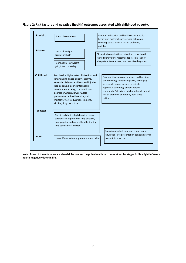

<span id="page-6-0"></span>**Figure 2: Risk factors and negative (health) outcomes associated with childhood poverty.** 

**Note: Some of the outcomes are also risk factors and negative health outcomes at earlier stages in life might influence health negatively later in life.**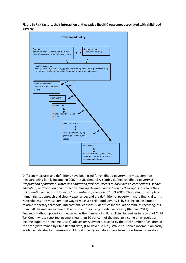<span id="page-7-0"></span>**Figure 3: Risk factors, their interaction and negative (health) outcomes associated with childhood poverty.**



Different measures and definitions have been used for childhood poverty, the most common measure being family income. In 2007 the UN General Assembly defined childhood poverty as *"deprivation of nutrition, water and sanitation facilities, access to basic health-care services, shelter, education, participation and protection, leaving children unable to enjoy their rights, to reach their full potential and to participate as full members of the society"* (UN 2007). This definition adopts a human rights approach and clearly extends beyond the definition of poverty in mere financial terms. Nevertheless, the most common way to measure childhood poverty is by setting an absolute or relative monetary threshold. International consensus identifies individuals or families receiving less than half the median income of the jurisdiction as living in relative poverty (Raphael 2011). In England childhood poverty is measured as the number of children living in families in receipt of Child Tax Credit whose reported income is less than 60 per cent of the median income or in receipt of Income Support or (Income-Based) Job Seeker Allowance, divided by the total number of children in the area (determined by Child Benefit data) (HM Revenue n.d.). While household income is an easily available indicator for measuring childhood poverty, initiatives have been undertaken to develop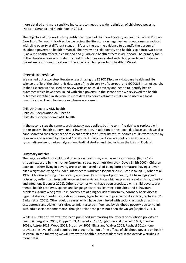more detailed and more sensitive indicators to meet the wider definition of childhood poverty. (Notten, Geranda and Keetie Roelen 2011)

The objective of this work is to quantify the impact of childhood poverty on health in Wirral Primary Care Trust. To reach this objective we review the literature on negative health outcomes associated with child poverty at different stages in life and the use the evidence to quantify the burden of childhood poverty on health in Wirral. The review on child poverty and health is split into two parts: (i) adverse health effects in childhood and (ii) adverse health effects in adulthood. The primary focus of the literature review is to identify health outcomes associated with child poverty and to derive risk estimates for quantification of the effects of child poverty on health in Wirral.

## <span id="page-8-0"></span>**Literature review**

We carried out a two step literature search using the EBSCO Discovery database health and life science profile of the electronic database of the University of Liverpool and GOOGLE internet search. In the first step we focussed on review articles on child poverty and health to identify health outcomes which have been linked with child poverty. In the second step we reviewed the health outcomes identified in step one in more detail to derive estimates that can be used in a local quantification. The following search terms were used:

Child AND poverty AND health Child AND deprivation AND health Child AND socioeconomic AND health

In the second step the same search strategy was applied, but the term "health" was replaced with the respective health outcome under investigation. In addition to the above database search we also hand searched the references of relevant articles for further literature. Search results were sorted by relevance and scanned by title and / or abstract. Particular focus was put on review articles, systematic reviews, meta-analyses, longitudinal studies and studies from the UK and England.

#### <span id="page-8-1"></span>**Summary articles**

The negative effects of childhood poverty on health may start as early as prenatal (figure 1-3) through exposure by the mother (smoking, stress, poor nutrition etc.) (Davey Smith 2007). Children born to mothers living in poverty are at an increased risk of being born premature, having a lower birth weight and dying of sudden infant death syndrome (Spencer 2008, Bradshaw 2002, Arber et al. 1997). Children growing up in poverty are more likely to report poor health, die from injury and poisoning, suffer from iron deficiency and anaemia and have a higher prevalence of asthma, obesity and infections (Spencer 2008). Other outcomes which have been associated with child poverty are mental health problems, speech and language disorders, learning difficulties and behavioural problems. Adults who grew up in poverty are at a higher risk of mortality, coronary heart disease, type II diabetes, obesity, respiratory diseases, hypertension and psychiatric disorders (Raphael 2011, Barker et al. 2001). Other adult diseases, which have been linked with social class such as arthritis, osteoporosis and Alzheimer's disease, might also be influenced by childhood poverty due to its link with adult socioeconomic status, though a relationship has not been shown yet (Raphael 2011).

While a number of reviews have been published summarising the effects of childhood poverty on health (Oberg et al. 2003, Phipps 2003, Arber et al. 1997, Egbuonu and Starfield 1982, Spencer 2008a, Attree 2011, Wood 2003, Bradshaw 2002, Giggs and Walker 2008, Raphael 2011) none provides the level of detail required for a quantification of the effects of childhood poverty on health in Wirral. In the following we will review the health outcomes identified in the overview studies in more detail.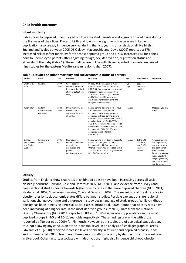## <span id="page-9-0"></span>**Child health outcomes**

#### <span id="page-9-1"></span>**Infant mortality**

Babies born to deprived, unemployed or little educated parents are at a greater risk of dying during the first year of their lives. Preterm birth and low birth weight, which in turn are linked with deprivation, also greatly influence survival during the first year. In an analysis of all live birth in England and Wales between 2005-06 Oakley, Maconochie and Doyle (2009) reported a 57% increased risk of infant mortality for the most deprived group and a 71% increased risk for babies born to unemployed parents after adjusting for age, sex, deprivation, registration status and ethnicity of the baby (table 1). These findings are in line with those reported in a meta analysis of nine studies for the eastern Mediterranean region (Jahan 2007).

| Author                                     | Place                                 | Year          | Measure                                                                                                   | Outcome                                                                                                                                                                                                                                                                                                                                                                                             | Age          | Sample size                                              | Comment                                                                                                                                                                                                    |
|--------------------------------------------|---------------------------------------|---------------|-----------------------------------------------------------------------------------------------------------|-----------------------------------------------------------------------------------------------------------------------------------------------------------------------------------------------------------------------------------------------------------------------------------------------------------------------------------------------------------------------------------------------------|--------------|----------------------------------------------------------|------------------------------------------------------------------------------------------------------------------------------------------------------------------------------------------------------------|
| Smith et al.<br>2010                       | England                               | 1997-<br>2007 | Cause specific<br>neonatal mortality<br>by deprivation (IMD<br>at super output area<br>level)             | In 2006-07 children born in most<br>deprived areas were at 2.35 (95% CI<br>2.10-2.63) fold increased risk of infant<br>mortality. The risk increased from<br>2.08 (95% CI 1.92-2.27) in 1997-99<br>and 80% of this difference was<br>explained by premature birth and<br>congenital abnormalities                                                                                                   | $28$<br>days | 18524<br>neonatal<br>deaths                              |                                                                                                                                                                                                            |
| Jahan 2007                                 | Eastern<br>mediteraenaen<br>countries | 1980-<br>2000 | Infant mortality by<br>socioeconomic<br>status and illiteracy<br>of mother                                | Babies born to illiterate mother have<br>a 1.72 (95% CI 1.45-2.08) fold<br>increased risk of infant mortality<br>compared to those born to literate<br>mothers. Low socioeconomic status is<br>associated with a 1.6 fold (95% CI<br>1.30-1.96) increased risk compared to<br>most affluent household and 1.37 fold<br>increased risk (95% CI 1.25-1.49)<br>compared with better SES<br>households. | $<$ 1 year   |                                                          | Meta analysis of 9<br>studies                                                                                                                                                                              |
| Oakley,<br>Maconochie<br>and Doyle<br>2009 | England and<br>Wales                  | 2005-<br>06   | Neonatal, post<br>neonatal and infant<br>mortality by<br>deprivation and<br>parent's<br>employment status | Babies born to most deprived parents<br>have a 1.57 fold (95% CI 1.41-1.75)<br>increased risk of infant mortality.<br>Unemployment was associated with a<br>1.71 fold (95% CI 1.18-2.47) increased<br>risk of infant mortality                                                                                                                                                                      | $<$ 1 year   | 1,276,198<br>live birth<br>and 5,571<br>infant<br>deaths | Adjusted for age,<br>sex, deprivation,<br>registration status<br>and ethnicity of<br>baby. Further<br>factors considered<br>in analysis: birth<br>weight, gestation,<br>maternal age and<br>marital status |

<span id="page-9-3"></span>

| Table 1: Studies on infant mortality and socioeconomic status of parents. |  |  |
|---------------------------------------------------------------------------|--|--|
|---------------------------------------------------------------------------|--|--|

## <span id="page-9-2"></span>**Obesity**

Studies from England show that rates of childhood obesity have been increasing across all social classes (Sherburne Hawkins, Cole and Dezateux 2007, NOD 2011) and evidence from surveys and cross sectional studies points towards higher obesity rates in the more deprived children (NOD 2011, Nelder et al. 2009, Sherburne Hawkins, Cole and Dezateux 2007). The magnitude of the difference in obesity rates by socioeconomic status differs between studies. Possible explanations are regional variation; change over time and difference in study design and age of study groups. While childhood obesity has been increasing across all social classes, Brunt et al. (2008) found that obesity rates have been increasing at a higher rate in the most deprived groups (table 2). Data from the National Obesity Observatory (NOO 2011) reported 5.8% and 10.8% higher obesity prevalence in the most deprived groups in 4-5 and 10-11 year olds respectively. These findings are in line with those reported by (Nelder et al. 2009) for Plymouth. However both studies are of ecological study design, thus not allowing any conclusion at the individual level. In an analysis of small geographical areas, Edwards et al. (2010) reported increased levels of obesity in affluent and deprived areas in Leeds and Dummer et al. (2005) found no differences in childhood obesity by deprivation at the ward level in Liverpool. Other factors, associated with deprivation, might also influence childhood obesity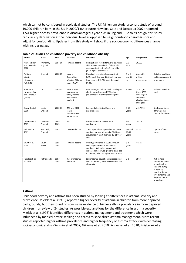which cannot be considered in ecological studies. The UK Millenium study, a cohort study of around 19,000 children born in the UK in 2000/1 (Sherburne Hawkins, Cole and Dezateux 2007) reported 1.5% higher obesity prevalence in disadvantaged 3 year olds in England. Due to its design, this study can classify deprivation at the individual level as opposed to neighbourhood characteristics and adjust for confounding. Updates from this study will show if the socioeconomic differences change with increasing age.

| Author                                               | Place                 | Year          | <b>Measure</b>                                                          | <b>Outcome</b>                                                                                                                                                                                       | Age                             | Sample size                                                                       | <b>Comments</b>                                                                                                                                                   |
|------------------------------------------------------|-----------------------|---------------|-------------------------------------------------------------------------|------------------------------------------------------------------------------------------------------------------------------------------------------------------------------------------------------|---------------------------------|-----------------------------------------------------------------------------------|-------------------------------------------------------------------------------------------------------------------------------------------------------------------|
| Kinra, Nelder<br>and Lewendon<br>2000                | Plymouth,<br>England  | 1994-96       | Townsend score                                                          | No significant results for 5.1 to 11.7 year<br>olds, 1.95 increased risk of obesity for<br>most deprived 11.8 to 14.6 year olds<br>(3.3% higher prevalence)                                          | $5.1 -$<br>14.6                 | 20,973                                                                            |                                                                                                                                                                   |
| National<br>obesity<br>observatory<br>(NOO) 2011     | England               | 2008-09       | Income<br>Deprivation<br>Affecting Children<br>Index (IDACI)            | Obesity at reception: least deprived<br>6.7%, most deprived 12.5%; at year six:<br>least deprived 12.6%, most deprived<br>23.4%                                                                      | 4 to 5<br>and 10<br>to 11       | Around 1<br>million<br>measurements                                               | Data from national<br>child measurement<br>programme                                                                                                              |
| Sherburne<br>Hawkins, Cole<br>and Dezateux<br>(2007) | UK                    | 2003-05       | Income poverty<br>measured as<br>family income<br>(below 60%<br>median) | Disadvantaged children had 1.5% higher<br>obesity prevalence and 1% higher<br>prevalence of overweight in England                                                                                    | 3 years                         | 13.771, of<br>these 3785<br>advantaged<br>and 3409<br>disadvantaged<br>in England | Millennium cohort<br>study                                                                                                                                        |
| Edwards et al.<br>2010                               | Leeds,<br>England     | 2000-03       | IMD and 2001<br>census<br>classification of<br>output areas             | Increased obesity in affluent and<br>deprived areas                                                                                                                                                  | $3 - 13$<br>years               | n=37,173                                                                          | Study used three<br>different data<br>sources for obesity                                                                                                         |
| Dummer et al.<br>2005                                | Liverpool,<br>England | 1998-<br>2003 | <b>IMD</b>                                                              | No association of obesity with<br>deprivation                                                                                                                                                        | $9 - 10$<br>years               | 15416                                                                             |                                                                                                                                                                   |
| Nelder et al.<br>2009                                | Plymouth,<br>England  | 2005          | Townsend score                                                          | 7.3% higher obesity prevalence in most<br>deprived 5-6 year olds and 4.8% higher<br>prevalence in most deprived 10-11 year<br>olds                                                                   | $5-6$ and<br>$10 - 11$<br>years | 3314                                                                              | Update of 1995<br>survey                                                                                                                                          |
| Brunt et al.<br>2008                                 | South<br>Wales        | 1995-<br>2005 | Townsend score                                                          | Obesity prevalence In 2005: 20.4% in<br>least deprived and 24.6% in most<br>deprived. BMI varied by year and<br>increased in deprived group to close gap<br>to affluent, who had higher BMI in 1995. | $3 - 4$<br>years                | 44525                                                                             |                                                                                                                                                                   |
| Ruijsbroek et<br>al. 2011                            | Netherlands           | 1997-<br>2005 | <b>BMI</b> by maternal<br>education                                     | Low maternal education was associated<br>with a 2.82fold (1.80-4.41)increased risk<br>of obesity                                                                                                     | $0 - 8$                         | 3963                                                                              | <b>Risk factors</b><br>considered were<br>breastfeeding,<br>smoking during<br>pregnancy,<br>smoking during<br>first 3 months and<br>day care centre<br>attendance |

#### <span id="page-10-1"></span>**Table 2: Studies on childhood poverty and childhood obesity.**

#### <span id="page-10-0"></span>**Asthma**

Childhood poverty and asthma has been studied by looking at differences in asthma severity and prevalence. Mielck et al. (1996) reported higher severity of asthma in children from more deprived backgrounds, but they found no conclusive evidence of higher asthma prevalence in more deprived children in a review of 24 studies. As possible explanations for the difference in asthma severity Mielck et al. (1996) identified differences in asthma management and treatment which were influenced by medical advice seeking and access to specialised asthma management. More recent studies reported higher asthma prevalence and higher frequency of asthma attacks with decreasing socioeconomic status (Serguin et al. 2007, Nikiema et al. 2010, Kozyrskyj et al. 2010, Ruisbroek et al.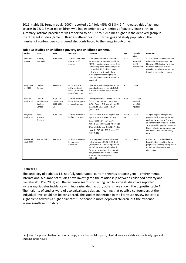2011) (table 3). Serguin et al. (2007) reported a 2.4 fold (95% CI 1.3-4.2)<sup>1</sup> increased risk of asthma attacks in 2.5-3.5 year old children who had experienced 3-4 periods of poverty since birth. In summary, asthma prevalence was reported to be 1.27 to 2.21 times higher in the deprived group in the different studies (table 3). Besides differences in study designs and study population, the number of confounders considered also contributed to the range in outcome.

| Author                    | Place                                      | Year                                       | <b>Measure</b>                                                           | Outcome                                                                                                                                                                                                                                                                                                     | Age         | Sample<br>size                            | Comment                                                                                                                                                                                                                                                       |
|---------------------------|--------------------------------------------|--------------------------------------------|--------------------------------------------------------------------------|-------------------------------------------------------------------------------------------------------------------------------------------------------------------------------------------------------------------------------------------------------------------------------------------------------------|-------------|-------------------------------------------|---------------------------------------------------------------------------------------------------------------------------------------------------------------------------------------------------------------------------------------------------------------|
| Mielck et<br>al 1996      | Munich,<br>Germany                         | 1989-1990                                  | Asthma severity by<br>education of<br>parents                            | 2.3 fold increased risk of severe<br>asthma in most deprived children<br>(0.9% in least deprived versus 2.1%<br>in most deprived, measured per all<br>children) and 2.5 fold increased<br>risk of severe asthma in those<br>suffering from asthma (16% in<br>least deprived versus 40% in most<br>deprived) | $9 - 11$    | 7455<br>enrolled,<br>6490<br>responded    | As part of the study Mielck and<br>colleagues also reviewed the<br>literature (24 studies) for a link<br>between increased asthma<br>prevalence and deprivation, but<br>found no conclusive evidence.                                                         |
| Serguin et<br>al. 2007    | Quebec<br>Canada                           | 1998-2001                                  | Occurrence of<br>asthma attack in<br>last 12 month by<br>parent's income | Children who had experienced 3-4<br>periods of poverty had a 2.4 (1.3-<br>4.2) fold increased risk of asthma<br>attacks                                                                                                                                                                                     | 3.5         | 1950                                      |                                                                                                                                                                                                                                                               |
| Nikiema<br>et al. 2010    | United<br>Kingdom and<br>Quebec,<br>Canada | 1998-2001<br>Canada and<br>2000-2003<br>UK | Asthma prevalence<br>by income support<br>or social welfare              | Poverty in first year of life: UK 1.67<br>(1.39-2.02), Quebec 1.52 (0.84-<br>2.75); Poverty 4'th year of life: UK<br>1.55 (1.24-1.93) Quebec 1.17<br>$(0.48 - 2.85)$                                                                                                                                        | $3 - 3.5$   | 14556 in<br>UK and<br>n=1950 in<br>Quebec |                                                                                                                                                                                                                                                               |
| Kozyrskyj<br>et al. 2010  | Perth,<br>Western<br>Australia             | 1989-2005                                  | Asthma prevalence<br>by family income                                    | Increased risk in most deprived at<br>age 6: male & female 1.17 (0.82-<br>1.65), male 1.64 (1.04-2.57),<br>female 1.11 (0.68-1.81); risk at age<br>14: male & female 2.21 (1.17-4.17,<br>male 1.27 (0.59-2.73), female 2.95<br>$(1.22 - 7.11)$                                                              | 6 and<br>14 | 2868                                      | At age 6 adjusted for gender,<br>preterm birth, maternal asthma<br>and dog ownership in first year<br>and chronic family stress; at age<br>14 adjusted for gender, maternal<br>history of asthma, cat ownership<br>in first year and chronic family<br>stress |
| Ruijsbroek<br>et al. 2011 | Netherlands                                | 1997-2005                                  | Asthma prevalence<br>by maternal<br>education                            | Most deprived have an increased<br>risk of asthma of 1.27 (1.08-1.49)<br>(prevalence = 15.9% compared to<br>12.2%), inclusion of lifestyle risk<br>factor in the analysis decreases the<br>risk, greatest effect was seen for<br>smoking during pregnancy<br>$(OR=1.2).$                                    | $0 - 8$     | 3963                                      | Risk factors considered were<br>breastfeeding, smoking during<br>pregnancy, smoking during first 3<br>month and day care centre<br>attendance                                                                                                                 |

#### <span id="page-11-1"></span>**Table 3: Studies on childhood poverty and childhood asthma.**

#### <span id="page-11-0"></span>**Diabetes 1**

**.** 

The aetiology of diabetes 1 is not fully understood, current theories propose gene – environmental interactions. A number of studies have investigated the relationship between childhood poverty and diabetes (Du Prel 2007) and the evidence seems conflicting. While some studies have reported increasing diabetes incidence with increasing deprivation, others have shown the opposite (table 4). The majority of studies were of ecological study design, meaning that possible confounders at the individual level could not be considered. The studies indentified in the literature review indicate a slight trend towards a higher diabetes 1 incidence in more deprived children, but the evidence seems insufficient to date.

 $^1$  Adjusted for gender, birth order, mothers age, education, social support, physical violence, child care use, family type and smoking in the house,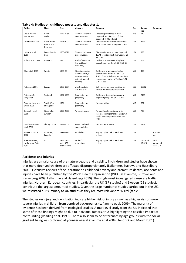<span id="page-12-1"></span>

|  |  | Table 4: Studies on childhood poverty and diabetes 1. |
|--|--|-------------------------------------------------------|
|--|--|-------------------------------------------------------|

| Author                                             | Place                                 | Year                                    | Measure                                                                                      | Outcome                                                                                                                                                              | Age    | Sample<br>size     | <b>Comments</b>                  |
|----------------------------------------------------|---------------------------------------|-----------------------------------------|----------------------------------------------------------------------------------------------|----------------------------------------------------------------------------------------------------------------------------------------------------------------------|--------|--------------------|----------------------------------|
| Crow, Alberti,<br>Pertuin 1991                     | North<br>England                      | 1977-1986                               | Diabetes incidence<br>by deprivation                                                         | Diabetes prevalence in most<br>deprived: 18.7 (16.2-21.5), least<br>deprived: 7.0 (5.6-8.75)                                                                         | <16    | 919                |                                  |
| Du-Prel et al. 2007                                | North Rhine<br>Westphalia,<br>Germany | 1996-2000                               | Diabetes incidence<br>by deprivation                                                         | Diabetes incidence was 30% (14%-<br>48%) higher in most deprived areas                                                                                               | $15$   | 2499               |                                  |
| La Porte et al.<br>1981                            | Pennsylvania,<br><b>USA</b>           | 1965-1976                               | Diabetes incidence<br>by deprivation                                                         | Diabetes incidence: Least deprived:<br>13.74 +/- 2.12; most deprived: 15.21<br>$+/- 2.26$                                                                            | < 20   | 939                |                                  |
| Soltesz et al. 1994                                | Hungary                               | 1990                                    | Mother's education<br>(highest level:<br>university)                                         | Odd ratio lowest versus highest<br>education of mother: 1.69 (0.95-3)                                                                                                | $15$   | 163                |                                  |
| Blom et al. 1989                                   | Sweden                                | 1985-86                                 | <b>Education mother</b><br>(non university);<br>employment of<br>farther (manual<br>worker). | Odds ratio lower versus higher<br>education of mother: 1.58 (1.03-<br>2.42); Odds ratio lower versus higher<br>employment status of farther: 1.37<br>$(1.03 - 1.83)$ | $15$   | 393                |                                  |
| Patterson 2001                                     | Europe                                | 1989-1994                               | Infant mortality<br>rate and GDP                                                             | Both measures were significantly<br>related with diabetes incidence                                                                                                  | $15$   | 16362              |                                  |
| Patterson &<br>Vaugh 1992                          | Scotland                              | 1977-1983                               | Deprivation by<br>geography                                                                  | Odds ratio deprived versus non<br>deprived group: 0.8 (0.71-0.89)                                                                                                    | $19$   | 2125               |                                  |
| Baumer, Hunt and<br>Shield 1998                    | South West<br>of England              | 1994                                    | Deprivation by<br>geography                                                                  | No association                                                                                                                                                       | $<$ 16 | 801                |                                  |
| Gopinath et al.<br>2008                            | Stockholm,<br>Sweden                  | 1990-2003                               | Parent's income                                                                              | No significant association with<br>income, but higher incidence (24.3)<br>in affluent compared to deprived<br>(20.2)                                                 | $18$   | 733                |                                  |
| Grigsby Toussaint<br>et al. 2010                   | Chicago, USA                          | 1994-2003                               | Neighbourhood<br>characteristics                                                             | No clear association                                                                                                                                                 | < 18   | 1252               |                                  |
| Siemiatycki et al.<br>1988                         | Montreal,<br>Canada                   | 1971-1985                               | Social class                                                                                 | Slightly higher risk in wealthier<br>children                                                                                                                        | $14$   |                    | Abstract<br>only                 |
| Stewart-Brown,<br><b>Haslum and Butler</b><br>1983 | UK                                    | 1946, 1958<br>and 1970<br>birth cohorts | Farther's<br>occupation                                                                      | Slightly higher risk in wealthier<br>children                                                                                                                        | $11$   | cohort of<br>13823 | Small<br>number of<br>cases (18) |

## <span id="page-12-0"></span>**Accidents and injuries**

Injuries are a major cause of premature deaths and disability in children and studies have shown that more deprived children are affected disproportionately (Laflamme, Burrows and Hasselberg 2009). Extensive reviews of the literature on childhood poverty and premature deaths, accidents and injuries have been published by the World Health Organisation (WHO) (Laflamme, Burrows and Hasselberg 2009, Laflamme and Hasselberg 2010). The single most investigated cause are traffic injuries. Northern European countries, in particular the UK (37 studies) and Sweden (25 studies), contribute the largest amount of studies. Given the large number of studies carried out in the UK, we restricted our summary to UK studies as they are most relevant to Wirral (table 5).

The studies on injury and deprivation indicate higher risk of injury as well as a higher risk of more severe injuries in children from deprived backgrounds (Laflamme et al. 2009). The majority of evidence has been derived from ecological studies. A multilevel study from the UK indicated that some of these findings might be due to individual factors, thus highlighting the possible impact of confounding (Reading et al. 1999). There also seem to be differences by age groups with the social gradient being less profound at younger ages (Laflamme et al 2004. Kendrick and Marsh 2001).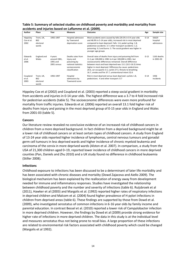| Author                          | Place                                   | Year                                               | Measure                                                                                                   | Outcome                                                                                                                                                                                                                                                                                                                                                                                                                           | Age      | Sample size                     |
|---------------------------------|-----------------------------------------|----------------------------------------------------|-----------------------------------------------------------------------------------------------------------|-----------------------------------------------------------------------------------------------------------------------------------------------------------------------------------------------------------------------------------------------------------------------------------------------------------------------------------------------------------------------------------------------------------------------------------|----------|---------------------------------|
| Hippisley<br>Cox et al.<br>2002 | Trent, UK,<br>862<br>electoral<br>wards | 1992-1997                                          | Hospital admission<br>by Townsend<br>deprivation score                                                    | Most accidents were caused by falls (39.3% in 0-4 year olds<br>and 48.9% in 5-14 year olds), increased risk in most deprived<br>compared to least deprived: Falls: 1.6; pedal cycling: 1.8;<br>pedestrian accidents: 3.7; other transport accidents: 1.2;<br>poisoning: 3.2 and burns: 3. The social gradient was higher in<br>younger age groups                                                                                 | $0 - 14$ | 56629<br>hospital<br>admissions |
| Edwards<br>et al.<br>2006       | England and<br>Wales                    | 4 years<br>around 1981,<br>1991 and<br>2001 census | Deaths rates from<br>injury and<br>poisoning by<br>national statistics<br>socioeconomic<br>classification | Overall rates of deaths from injury and poisoning fell from<br>11.1 per 100,000 in 1981 to 4 per 100,000 in 2001, but<br>socioeconomic differences remained. Overall difference<br>between most and least deprived was 13.1 (10.3-16.5) times<br>higher in most deprived. Difference by cause: pedestrians<br>20.6, car occupants 5.5, cyclist 27.5, threats to breathing<br>16.7, smoke and fire 37.7, unintentional intent 32.6 | $0 - 15$ | 1163 deaths<br>in 2001-03       |
| Coupland<br>et al.<br>2003      | Trent, UK,<br>862<br>electoral<br>wards | 1992-1997                                          | Hospital<br>admissions by<br>Townsend score                                                               | Risk in most deprived versus least deprived: cyclists 1.8,<br>pedestrians: 4 and other transport: 0.7                                                                                                                                                                                                                                                                                                                             | $0 - 14$ | 1936<br>incidents               |

<span id="page-13-2"></span>**Table 5: Summary of selected studies on childhood poverty and morbidity and mortality from accidents and injuries based on Laflamme et al. (2009).** 

Hippsley Cox et al (2002) and Coupland et al. (2003) reported a steep social gradient in morbidity from accidents and injuries in 0-14 year olds. The highest difference was a 3.7 to 4 fold increased risk for pedestrian accidents (table 5). The socioeconomic differences were even more profound for mortality from traffic injuries. Edwards et al. (2006) reported an overall 13.1 fold higher risk of deaths from injury and poising in the most deprived group of 0-15 year olds in England and Wales from 2001-03 (table 5).

#### <span id="page-13-0"></span>**Cancers**

Our literature review revealed no conclusive evidence of an increased risk of childhood cancers in children from a more deprived background. In fact children from a deprived background might be at a lower risk of childhood cancers or at least certain types of childhood cancers. A study from England of 13-24 year olds reported higher incidence of lymphomas, central nervous tumours and gonadal germ cell tumours in less deprived wards and higher incidence of chronic myeloid leukemia and carcinoma of the cervix in more deprived wards (Alston et al. 2007). In comparison, a study from the USA of 21,300 children aged 0–19, reported lower incidence of childhood cancers in more deprived counties (Pan, Daniels and Zhu 2010) and a UK study found no difference in childhood leukaemia (Stiller 2008).

#### <span id="page-13-1"></span>**Infections**

Childhood exposure to infections has been discussed to be a determinant of later life morbidity and has been associated with chronic diseases and mortality (Dowd Zajacova and Aiello 2009). The biological mechanism has been explained by the reallocation of energy away from development needed for immune and inflammatory responses. Studies have investigated the relationship between childhood poverty and the number and severity of infections (table 6). Ruijsbroek et al (2011), Hawker et al (2003) and Margolis et al. (1992) reported higher rates of respiratory infections in deprived children and Malcom et al. (2004) found higher prevalence of H pylori infections in children from deprived areas (table 6). These findings are supported by those from Dowd et al. (2009), who investigated serostatus of common infections in 6-16 year olds by family income and parental education. In contrast Bessel et al. (2010) reported a lower risk of Campylobacter infection in more deprived children. However, the findings by Dowd et al (2009) provide strong evidence for higher rate of infections in more deprived children. The data in this study is at the individual level and measures serostatus thus not being prone to recall bias. A large proportion of these infections are related to environmental risk factors associated with childhood poverty which could be changed (Margolis et al 1992).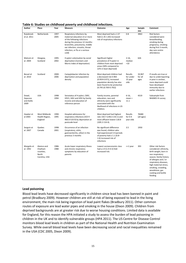<span id="page-14-1"></span>

|  | Table 6: Studies on childhood poverty and childhood infections. |
|--|-----------------------------------------------------------------|
|--|-----------------------------------------------------------------|

| Author                                  | Place                                                        | Year          | <b>Measure</b>                                                                                                                                                                                                                              | Outcome                                                                                                                                                                  | Age                                     | Sample                    | Comment                                                                                                                                                                                                                                                                |
|-----------------------------------------|--------------------------------------------------------------|---------------|---------------------------------------------------------------------------------------------------------------------------------------------------------------------------------------------------------------------------------------------|--------------------------------------------------------------------------------------------------------------------------------------------------------------------------|-----------------------------------------|---------------------------|------------------------------------------------------------------------------------------------------------------------------------------------------------------------------------------------------------------------------------------------------------------------|
|                                         |                                                              |               |                                                                                                                                                                                                                                             |                                                                                                                                                                          |                                         | size                      |                                                                                                                                                                                                                                                                        |
| Ruijsbroek<br>et al. 2011               | Netherlands                                                  | 1997-<br>2005 | Respiratory infections by<br>maternal education (3 or more<br>of the following infections<br>during the previous 12 months:<br>bronchitis, pneumonia, middle<br>ear infection, sinusitis, throat<br>infection, or flu or a serious<br>cold) | Most deprived had a 1.57<br>fold (1.35-1.83) increased<br>risk of respiratory infections                                                                                 | $0 - 8$                                 | 3963                      | Risk factors<br>considered were<br>breastfeeding,<br>smoking during<br>pregnancy, smoking<br>during first 3 month,<br>day care centre<br>attendance.                                                                                                                   |
| Malcom et<br>al. 2004                   | Glasgow,<br>Scotland                                         | 1995-<br>2002 | H pylori colonisation by social<br>deprivation (Carstairs and<br>Morris index of deprivation)                                                                                                                                               | Significant higher<br>prevalence of H pylori in<br>children from most deprived<br>areas (34% compared to<br>22% in least deprived)                                       | $2 - 16$<br>median<br>$=10$             | 626                       |                                                                                                                                                                                                                                                                        |
| Bessel et<br>al. 2010                   | Scotland                                                     | 2000-<br>2006 | Campylobacter infection by<br>deprivation and population<br>density                                                                                                                                                                         | Most deprived children had<br>a decreased risk 0.965<br>(0.959-0.971), increased<br>population density has also<br>been found to be protective<br>$(0.745(0.700-0.792))$ | Results<br>for under<br>15 year<br>olds | 33,967<br>for all<br>ages | If results are true or<br>due to underreporting<br>in poor is unclear,<br>more deprived could<br>have developed<br>immunity due to<br>earlier infections                                                                                                               |
| Dowd,<br>Zajacova<br>and Aiello<br>2009 | <b>USA</b>                                                   | 1998-<br>1994 | Serostatus of H pylori, CMV,<br>HSV1, HAV and HDV by family<br>income and education of<br>reference person                                                                                                                                  | Family income, parental<br>education, race and<br>ethnicity were significantly<br>associated with the<br>likelihood of infections in US<br>children.                     | $6-16,$<br>$mean =$<br>11.1             | 4319                      | Subsample from<br><b>NHANES III survey</b>                                                                                                                                                                                                                             |
| Hawker et<br>al 2003                    | <b>West Midlands</b><br>Health Region,<br>England            | 1990-<br>1995 | Hospital admissions for<br>respiratory infections (ICD 9<br>460.0-519.9) by deprivation at<br>postcode level                                                                                                                                | Most deprived had highest<br>rate 150.7 (148.3-153.1) and<br>most affluent lowest 118.8<br>$(109.2 - 114.4)$ .                                                           | Results<br>for $0-4$<br>year olds       | 76680<br>(all ages)       |                                                                                                                                                                                                                                                                        |
| Serguin et<br>al. 2007                  | Quebec<br>Canada                                             | 1998-<br>2001 | Occurrence of an infection<br>(respiratory, otitis,<br>gastroenteritis, other) in the<br>previous 3 months                                                                                                                                  | No significant difference<br>was found, children who<br>had experienced 3-4 periods<br>of poverty had a 1.1 (0.8-<br>1.6) increased risk of<br>infections                | 3.5                                     | 1950                      |                                                                                                                                                                                                                                                                        |
| Margolis et<br>al. 1992                 | Alamce and<br>Chatham<br>counties,<br>North<br>Carolina, USA | 1986-<br>1988 | Acute lower respiratory illness<br>and chronic respiratory<br>symptoms by education of<br>parents                                                                                                                                           | Lowest socioeconomic class<br>had a 2.9 (1.9-4.5) fold<br>increased risk.                                                                                                | $<=1$ year                              | 393                       | Other risk factors<br>considered: ethnicity,<br>birth weight, born in<br>non respiratory<br>season, family history<br>of allergies and / or<br>respiratory diseases,<br>high maternal stress,<br>smoking, crowding,<br>woodstove, gas<br>cooking and bottle<br>feeding |

#### <span id="page-14-0"></span>**Lead poisoning**

Blood lead levels have decreased significantly in children since lead has been banned in paint and petrol (Bradbury 2009). However children are still at risk of being exposed to lead in the living environment, the main risk being ingestion of lead paint flakes (Bradbury 2011). Other common routes of exposure are lead water pipes and smoking in the house (Dixon 2009). Children from deprived backgrounds are at greater risk due to worse housing conditions. Limited data is available for England, for this reason the HPA initiated a study to assess the burden of lead poisoning in children in the UK and to identify vulnerable groups (HPA 2011). The US Centre for Disease Control monitors blood lead levels in children as part of the National Health and Nutrition Examination Survey. While overall blood lead levels have been decreasing social and racial inequalities remained in the USA (CDC 2005, Dixon 2009).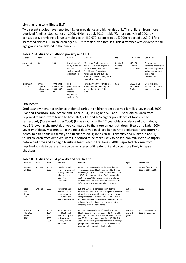#### <span id="page-15-0"></span>**Limiting long term illness (LLTI)**

Two recent studies have reported higher prevalence and higher risk of LLTI in children from more deprived families (Spencer et al. 2009, Nikiema et al. 2010) (table 7). In an analysis of 2001 UK census data, providing a large sample size of 462,679, Spencer et al. (2009) reported a 2.3-2.4 fold increased risk of LLTI in children aged 0-19 from deprived families. This difference was evident for all age groups considered in the analysis.

| Author                 | Place                                      | Year                                       | Measure                                                                         | Outcome                                                                                                                                                                                                              | Age                              | Sample size                          | Comment                                                                                                             |
|------------------------|--------------------------------------------|--------------------------------------------|---------------------------------------------------------------------------------|----------------------------------------------------------------------------------------------------------------------------------------------------------------------------------------------------------------------|----------------------------------|--------------------------------------|---------------------------------------------------------------------------------------------------------------------|
| Spencer et<br>al. 2009 | UK                                         | 2001                                       | Prevalence of<br>LLTI / disability<br>by ONS<br>socioeconomic<br>classification | More than 2 fold increased<br>risk of LLTI in most deprived<br>children. OR=2.29 (2.65-3.21)<br>for children of parents who<br>never worked and 2.39 (2.11-<br>2.69) for children of long term<br>unemployed parents | $0-19$ by 5<br>year age<br>bands | 462,679<br>children.<br>51.3% male   | Census data,<br>additional analysis by<br>education of parents<br>and overcrowding to<br>control for<br>confounding |
| Nikiema et<br>al. 2010 | United<br>Kingdom<br>and Quebec,<br>Canada | 1998-2001<br>Canada and<br>2000-2003<br>UK | LLTI<br>prevalence by<br>received<br>income<br>support or<br>social welfare     | Poverty in first year of life: UK<br>1.39 (0.94-2.06); Poverty 4'th<br>year of life: UK 3.11 (2.23-<br>4.34)                                                                                                         | $3 - 3.5$                        | 14556 in UK<br>and 1950 in<br>Quebec | UK results only<br>numbers for Quebec<br>study are too small                                                        |

#### <span id="page-15-2"></span>**Table 7: Studies on childhood poverty and LLTI.**

#### <span id="page-15-1"></span>**Oral health**

Studies show higher prevalence of dental caries in children from deprived families (Levin et al. 2009; Dye and Thornton 2007, Steele and Lader 2004). In England 5, 8 and 15 year old children from deprived families were found to have 16%, 24% and 18% higher prevalence of tooth decay respectively (Steele and Lader 2004) (table 8). Only in the 12 year olds prevalence of tooth decay was 1% lower in the most deprived compared to the more affluent children (Steele and Lader 2004). Severity of decay was greater in the most deprived in all age bands. One explanation are different dental health habits (Eckersley and Blinkhorn 2001; Jones 2001). Eckersley and Blinkhorn (2001) found children from deprived wards in Salford to be more likely to be fed non milk extrinsic sugars before bed time and to begin brushing teeth later in life. Jones (2001) reported children from deprived wards to be less likely to be registered with a dentist and to be more likely to lapse checkups.

| Author                               | Place      | Year                                  | Measure                                                                                                    | Outcome                                                                                                                                                                                                                                                                                                                                                       | Age                             | Sample size                                 |
|--------------------------------------|------------|---------------------------------------|------------------------------------------------------------------------------------------------------------|---------------------------------------------------------------------------------------------------------------------------------------------------------------------------------------------------------------------------------------------------------------------------------------------------------------------------------------------------------------|---------------------------------|---------------------------------------------|
| Levin et<br>al. 2009                 | Scotland   | 1993-<br>2003                         | Prevalence and<br>amount of decayed<br>missing and filled<br>primary teeth<br>(d3mft) by<br>deprivation    | From 1993-2003 prevalence decreased more in<br>the most deprived (11.3%) compared to the least<br>deprived (4.8%). In 2003 most deprived had a 4.6<br>(3.47-6.14) increased risk of d3mft compared to<br>least deprived. While overall gap in prevalence<br>between most and least deprived decreased, the<br>difference in the amount of fillings persisted. | 5 years                         | Ranged from 5656 in<br>1993 to 9858 in 2002 |
| Steele<br>and<br>Lader<br>2004       | England    | 2003                                  | Prevalence and<br>severity of tooth<br>decay by parents<br>deprivation and<br>school deprivation           | 5, 8 and 15 year old children from deprived<br>families had 16%, 24% and 18% higher prevalence<br>of tooth decay respectively. Only in the 12 year<br>olds prevalence of tooth decay was 1% lower in<br>the most deprived compared to the more affluent<br>children. Severity of decay was greater in the<br>most deprived in all age bands.                  | 5,8,12<br>and 15                | 10381                                       |
| Dye and<br>Thornton<br>Evans<br>2007 | <b>USA</b> | 1988-<br>1994<br>and<br>1999-<br>2004 | Untreated caries,<br>filled teeth and<br>teeth missing due<br>to disease by<br>poverty income<br>threshold | In 1999-2004 prevalence of dental caries was<br>19.6% higher in the most deprived 2-4 year olds<br>(34.1%). Compared to the least deprived (14.5%)<br>and 25.8% higher in most deprived (67.4%) 6-8<br>year olds. Caries experience increased in both age<br>groups from 1988-94 to 1999-2004. Most of this<br>was due to increase of caries in male.         | 2-4 years<br>and $6-8$<br>years | 1830 2-4 year old and<br>1597 6-8 year olds |

#### <span id="page-15-3"></span>**Table 8: Studies on child poverty and oral health.**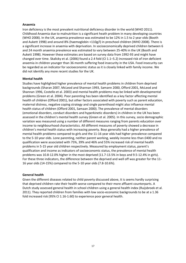#### <span id="page-16-0"></span>**Anaemia**

Iron deficiency is the most prevalent nutritional deficiency disorder in the world (WHO 2011). Childhood Anaemia due to malnutrition is a significant heath problem in many developing countries (WHO 2008). In the UK, anaemia prevalence was estimated to be 12% in 1.5 to 2 year olds (Booth and Aukett 1998) and around 8% (haemoglobin <110g/l) in preschool children (WHO 2008). There is a significant increase in anaemia with deprivation. In socioeconomically deprived children between 6 and 24 month anaemia prevalence was estimated to vary between 25-40% in the UK (Booth and Aukett 1998). However these estimates are based on survey data from 1992-93 and might have changed over time. Skalicky et al. (2006) found a 2.4 fold (CI 1.1–5.2) increased risk of iron deficient anaemia in children younger than 36 month suffering food insecurity in the USA. Food insecurity can be regarded as an indicator for socioeconomic status as it is closely linked with family income. We did not identify any more recent studies for the UK.

#### <span id="page-16-1"></span>**Mental health**

Studies have highlighted higher prevalence of mental health problems in children from deprived backgrounds (Sharan 2007, McLeod and Shannan 1993, Samann 2000, Offord 2001, McLeod and Shannan 1996, Costello et al. 2003) and mental health problems may be linked with developmental problems (Green et al. 2004). Poor parenting has been identified as a key factor affecting mental health of children (Offord 2001), but other factors associated with poverty such as parent education, maternal distress, negative coping strategy and single parenthood might also influence mental health status of children (Offord 2001, Samaan 2000). The prevalence of mental disorders (emotional disorders, conduct disorders and hyperkinetic disorders) in children in the UK has been assessed in the children's mental health survey (Green et al. 2005). In this survey, socio demographic variation was measured using a number of different measures ranging from parents education over income to neighbourhood characteristics. All different measures of poverty showed a decrease in children's mental health status with increasing poverty. Boys generally had a higher prevalence of mental health problems compared to girls and the 11-16 year olds had higher prevalence compared to the 5-10 year olds. Lone parenting, neither parent working, weekly income less than £400 and no qualification were associated with 75%, 39% and 46% and 55% increased risk of mental health problems in 5-15 year old children respectively. Measured by employment status, parent's qualification and income as indicators of socioeconomic status, the prevalence of mental health problems was 10.8-12.0% higher in the most deprived (11.7-13.5% in boys and 9.5-12.4% in girls). For these three indicators, the difference between the deprived and well off was greater for the 11- 16 year olds (14-15%) compared to the 5-10 year olds (7.8-10.6%).

#### <span id="page-16-2"></span>**General health**

Given the different diseases related to child poverty discussed above, it is seems hardly surprising that deprived children rate their health worse compared to their more affluent counterparts. A Dutch study assessed general health in school children using a general health index (Ruijsbroek et al. 2011). They reported children from families with low socio-economic backgrounds to be at a 1.36 fold increased risk (95% CI 1.16-1.60) to experience poor general health.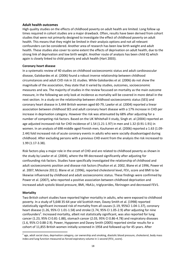#### <span id="page-17-0"></span>**Adult health outcomes**

High quality studies on the effects of childhood poverty on adult health are limited. Long follow up times required in cohort studies are a major drawback. Often, results have been derived from cohort studies that were not primarily designed to investigate the effect of childhood poverty on adult health. This means that they might be limited in their analysis options and not all relevant confounders can be considered. Another area of research has been low birth weight and adult health. These studies also cover to some extent the effects of deprivation on adult health, due to the strong link of deprivation and low birth weight. Another route of analysis has been child IQ which again is closely linked to child poverty and adult health (Hart 2003).

#### <span id="page-17-1"></span>**Coronary heart disease**

In a systematic review of 40 studies on childhood socioeconomic status and adult cardiovascular disease, Galobardes et al. (2006) found a robust inverse relationship between childhood circumstances and adult CVD risk in 31 studies. While Galobardes et al. (2006) do not show the magnitude of the association, they state that it varied by studies, outcomes, socioeconomic measures and sex. The majority of studies in the review focussed on mortality as the main outcome measure, in the following we only look at incidence as mortality will be covered in more detail in the next section. In a study on the relationship between childhood socioeconomic status (SES) and coronary heart disease in 3,444 British women aged 60-79, Lawlor et al. (2004) reported a linear association between childhood SES and adult coronary heart disease with a 17% increase in CHD per increase in deprivation category. However the risk was attenuated by 68% after adjusting for a number of competing risk factors. Based on the UK Whitehall II study, Singh et. al (2004) reported an age adjusted increased risk for CHD incidence of 1.54 (1.21-1.97) in men and 1.32 (0.91-1.91) in women. In an analysis of 698 middle aged Finnish men, Kauhanen et al. (2006) reported a 1.63 (1.09- 2.44) fold increased risk of acute coronary events in adults who were socially disadvantaged during childhood. After excluding persons with a previous CHD event from the analysis the risk increased to 1.99 (1.17-3.38).

Risk factors play a major role in the onset of CHD and are related to childhood poverty as shown in the study by Lawlor et al. (2004), where the RR decreased significantly after adjusting for confounding risk factors. Studies have specifically investigated the relationship of childhood and adult socioeconomic position and disease risk factors (Poulton et al. 2002, Blane et al 1996, Power et al. 2007, Mckenzie 2011). Blane et al. (1996), reported cholesterol level, FEV<sub>1</sub> score and BMI to be likewise influenced by childhood and adult socioeconomic status. These findings were confirmed by Power et al. (2007), who reported a positive association between childhood deprivation and increased adult systolic blood pressure, BMI, HbA1c, triglycerides, fibrinogen and decreased FEV1.

#### <span id="page-17-2"></span>**Mortality**

**.** 

Two British cohort studies have reported higher mortality in adults, who were exposed to childhood poverty. In a study of 5,648 35-64 year old Scottish men, Davey Smith et al. (1998) reported statistically significant increased risk of mortality from all causes (1.19, 95%CI 1.04-1.37), coronary heart disease (1.26, 95% CI 1.01-1.58) and stroke (1.74, 95% CI 1.05-2.9) after adjusting for nine confounders<sup>2</sup>. Increased mortality, albeit not statistically significant, was also reported for lung cancer (1.23, 95% CI 0.81-1.88), stomach cancer (2.03, 95% CI 0.86-4.78) and respiratory diseases (1.6, 95% CI 0.88-2.9). Power, Hypponen and Davey Smith (2005) reported similar results for a cohort of 11,855 British women initially screened in 1958 and followed up for 45 years. After

 $^2$  age, adult social class, deprivation category, car ownership and smoking, diastolic blood pressure, cholesterol, body mass index and lung function measured as forced expiratory volume in 1 second (FEV<sub>1</sub> score).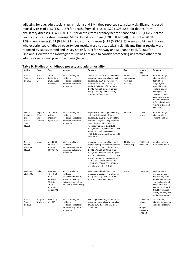adjusting for age, adult social class, smoking and BMI, they reported statistically significant increased mortality risks of 1.13 (1.01-1.27) for deaths from all causes, 1.29 (1.06-1.56) for deaths from circulatory diseases, 1.37 (1.04-1.79) for deaths from coronary heart disease and 1.51 (1.02-2.22) for deaths from respiratory diseases. Mortality risk for stroke (1.28 (0.83-1.94)), COPD (1.48 (0.91- 2.39)), lung cancer (1.21 (0.81-1.81)) and stomach cancer (4.15 (0.93-18.5)) were also higher in those who experienced childhood poverty, but results were not statistically significant. Similar results were reported by Naess, Strand and Davey Smith (2007) for Norway and Kauhanen et al. (2006) for Finnland. However the Norwegian study was not able to consider competing risk factors other than adult socioeconomic position and age (table 9).

| Author                                                | Place                                | Year                                                                                        | Measure                                                                                                                           | Outcome                                                                                                                                                                                                                                                                                                                                                                                     | Age                                              | Sample<br>size                                                  | Comment                                                                                                                                                                                                                                                                       |
|-------------------------------------------------------|--------------------------------------|---------------------------------------------------------------------------------------------|-----------------------------------------------------------------------------------------------------------------------------------|---------------------------------------------------------------------------------------------------------------------------------------------------------------------------------------------------------------------------------------------------------------------------------------------------------------------------------------------------------------------------------------------|--------------------------------------------------|-----------------------------------------------------------------|-------------------------------------------------------------------------------------------------------------------------------------------------------------------------------------------------------------------------------------------------------------------------------|
| Davey<br>Smith et<br>al. 1998                         | West<br>Scotland,<br>UK              | 1970-73<br>initial data<br>plus 21 year<br>follow up                                        | Adult mortality by<br>childhood<br>socioeconomic status<br>measured as father's<br>occupation                                     | Lowest social class in childhood had<br>increased risk of mortality from all<br>causes 1.19 (1.04-1.37), coronary<br>heart disease 1.26 (1.01-1.58),<br>stroke 1.74 (1.05-2.9) lung cancer<br>1.23 (0.81-1.88), stomach cancer<br>2.03 (0.86-4.78) and respiratory<br>diseases 1.6 (0.88-2.9)                                                                                               | 35-64 at<br>examination,<br>recruited<br>1970-73 | 5766 men-                                                       | Adjusted for age,<br>adult social class,<br>deprivation<br>category, car<br>ownership and<br>smoking, diastolic<br>blood pressure,<br>cholesterol, body<br>mass index and lung<br>function measured<br>as forced expiratory<br>volume in 1 second<br>(FEV <sub>1</sub> score) |
| Power,<br>Hypponen<br>and<br>Davey<br>Smith<br>(2005) | England,<br>Wales<br>and<br>Scotland | 1958 birth<br>cohort,<br>mortality<br>up to 2003                                            | Adult mortality by<br>childhood<br>socioeconomic status<br>measured as father's<br>occupation                                     | Higher risk in most deprived during<br>childhood of mortality from all<br>causes 1.13 (1.01-1.27), circulatory<br>diseases 1.29 (1.06-1.56), coronary<br>heart disease 1.37 (1.04-1.79),<br>respiratory diseases 1.51 (1.02-<br>2.22), stroke 1.28 (0.83-1.94), COPD<br>1.48 (0.91-2.39), lung cancer 1.21<br>(0.81-1.81) and stomach cancer 4.15<br>$(0.93 - 18.5)$                        | 45 years                                         | 11855<br>women                                                  | Adjusted for age,<br>adult social class,<br>smoking and BMI                                                                                                                                                                                                                   |
| Naess,<br>Strand<br>and Smith<br>(2007)               | Norway                               | Aged 0-20<br>in 1960,<br>mortality<br>1990-2001                                             | Adult mortality by<br>childhood<br>socioeconomic status<br>measured as father's<br>occupation                                     | Increased risk of mortality in most<br>deprived group for men for stomach<br>cancer 2.76 (1.6-4.75), lung cancer<br>1.53 (1.17-2.00), CHD 1.86 (1.59-<br>2.18), other violent deaths 1.3 (1.07-<br>1.57) and all causes 1.25 (1.17-1.34)<br>and for women for lung cancer 1.73<br>(1.25-2.39), cervical cancer 1.77<br>(1.09-2.87), COPD 2.35 (1.18-4.68)<br>and all causes 1.2 (1.1-1.31). | 41-61 at end<br>of follow up                     | 795,324 at<br>follow up                                         | No information on<br>other confounders                                                                                                                                                                                                                                        |
| Kauhanen<br>et al 2006                                | Finland                              | Men aged<br>42, 48, 54,<br>or 60<br>enrolled<br>1984 to<br>1989,<br>mortality<br>up to 2002 | Adult mortality by<br>childhood<br>socioeconomic status<br>(measured by four<br>indicators from school<br>data and questionnaire) | Most deprived in childhood had<br>increased mortality from all causes<br>1.33 (0.92-1.92), CVD 1.42 (0.85-<br>2.38) and CHD 1.64 (0.91-2.99)                                                                                                                                                                                                                                                | 55-78                                            | 2682 men                                                        | Study primarily<br>focussed on heart<br>diseases. Adjusted<br>for age, examination<br>year, biological and<br>behavioural risk<br>factors: cholesterol,<br>BMI, SBP, physical<br>activity, smoking and<br>alcohol consumption                                                 |
| Davey<br>Smith et<br>al. 2001                         | Glasgow,<br>Scotland                 | Deaths up<br>to 1998                                                                        | Adult mortality by<br>childhood<br>socioeconomic status<br>measured as parents<br>occupation                                      | Most deprived during childhood had<br>increased risk of all cause mortality<br>of 1.32 (0.78-2.24) and CVD 2.31<br>$(1.09 - 4.89)$                                                                                                                                                                                                                                                          |                                                  | 8396 male<br>students<br>at<br>Glasgow<br>university<br>1948-68 | <b>CVD</b> mortality<br>adjusted for smoking<br>and blood pressure                                                                                                                                                                                                            |

## <span id="page-18-0"></span>**Table 9: Studies on childhood poverty and adult mortality.**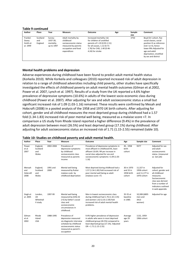#### <span id="page-19-1"></span>**Table 9 continued**

| Author<br>Place                                                         | Year                                          | Measure                                                                                                              | Outcome                                                                                                                                                               | Age | Sample<br>size | Comment                                                                                                                                                                                           |
|-------------------------------------------------------------------------|-----------------------------------------------|----------------------------------------------------------------------------------------------------------------------|-----------------------------------------------------------------------------------------------------------------------------------------------------------------------|-----|----------------|---------------------------------------------------------------------------------------------------------------------------------------------------------------------------------------------------|
| Frankel.<br>Scotland<br>Davey<br>and<br>Smith et<br>England<br>al. 1999 | Survey<br>1937-39.<br>mortality<br>up to 1997 | Adult mortality by<br>childhood<br>socioeconomic status<br>measured by parents<br>occupation and food<br>expenditure | Increased mortality risk<br>for children of unskilled<br>parents of 1.19 (0.93-1.51)<br>for all causes, 1.12 (0.71-<br>1.76) for CHD, 1.40 (0.46-<br>4.24) for stroke |     | 3750           | Boyd Orr cohort, five<br>social classes, social<br>position III as reference<br>(not I or II), hence<br>lower RRs Adjusted for<br>age and adult<br>deprivation, stratified<br>by sex and district |

#### <span id="page-19-0"></span>**Mental health problems and depression**

Adverse experiences during childhood have been found to predict adult mental health status (Korkeila 2010). While Korkeila and colleagues (2010) reported increased risk of adult depression in relation to a range of childhood adversities including child poverty, other studies have specifically investigated the effects of childhood poverty on adult mental health outcomes (Gilman et al.2002, Power et al. 2007, Lynch et al. 1997). Results of a study from the UK reported a 4.6% higher prevalence of depressive symptoms (10.6%) in adults of the lowest socio economic class during childhood (Power et al. 2007). After adjusting for sex and adult socioeconomic status a small but significant increased risk of 1.09 (1.03-1.16) remained. These results were confirmed by Mesah and Hobcraft (2008) in a pooled analysis of the 1958 and 1970 UK birth cohorts. After adjusting for cohort, gender and all childhood measures the most deprived group during childhood had a 1.57 fold (1.34-1.83) increased risk of poor mental well being, measured as a malaise score >7. In comparison a US study from Rhode Island reported a higher difference (9.4%) in the prevalence of adult depression between most (26.5%) and least deprived group (17.1%) during childhood. After adjusting for adult socioeconomic status an increased risk of 1.71 (1.15-2.55) remained (table 10).

| Author                            | Place                                  | Year             | <b>Measure</b>                                                                                                                                          | Outcome                                                                                                                                                                                                 | Age                                             | Sample size                                              | Comment                                                                                                                                                              |
|-----------------------------------|----------------------------------------|------------------|---------------------------------------------------------------------------------------------------------------------------------------------------------|---------------------------------------------------------------------------------------------------------------------------------------------------------------------------------------------------------|-------------------------------------------------|----------------------------------------------------------|----------------------------------------------------------------------------------------------------------------------------------------------------------------------|
| Power<br>et al<br>2007            | England,<br>Scotland<br>and<br>Wales   | 2002-2004        | Prevalence of<br>depressive symptoms<br>by childhood<br>socioeconomic class<br>measured as parents<br>income                                            | Prevalence of depressive symptoms in<br>most affluent in childhood 6%, least<br>affluent 10.6%. RR per increase in<br>social class adjusted for sex and<br>socioeconomic symptoms =1.09 (1.03-<br>1.16) | 45, 1958<br>birth<br>cohort                     | 9377                                                     | Adjusted for sex<br>and adult<br>socioeconomic<br>status. (measured<br>as last job)                                                                                  |
| Mensah<br>and<br>Hobcraft<br>2008 | England,<br>Scotland<br>and<br>Wales   | 1991 and<br>2000 | Mental well being<br>measured by Rutter<br>malaise scale by<br>childhood deprivation                                                                    | Most deprived during childhood had a<br>1.57 (1.34-1.83) fold increased risk of<br>poor mental well being as adult<br>(malaise score >7)                                                                | 30 in 1970<br>and 33 in<br>1958 birth<br>cohort | 11,327 in<br>1958 cohort<br>and 11,177 in<br>1970 cohort | Adjusted for<br>cohort, gender and<br>all childhood<br>measures.<br>Socioeconomic<br>class was derived<br>from a number of<br>indicators outlined<br>in web appendix |
| Singh et<br>al. 2005              | London,<br>UK<br>Whitehall<br>II study | 1997-99          | Mental well being<br>measured by GHQ 32<br>(>5) by father's social<br>class and<br>socioeconomic<br>circumstances in<br>childhood.                      | Men in lowest socioeconomic class<br>during childhood had 1.76 (1.32-2.35)<br>and women 1.62 (1.01-2.59) fold<br>increased risk of adult mental health<br>problems.                                     | 35-55 at<br>baseline<br>in 1985                 | 10,308 (6895<br>men and<br>3413<br>women)                | Adjusted for age                                                                                                                                                     |
| Gilman<br>et al.<br>2002          | Rhode<br>Island<br><b>USA</b>          | 1988-1995        | Prevalence of<br>depression measured<br>via diagnostic interview<br>schedule by childhood<br>socioeconomic status<br>measured as parent's<br>occupation | 9.4% higher prevalence of depression<br>in adults who were in most deprived<br>childhood group (26.5%) compared to<br>least deprived group (17.1%). Adjusted<br>$OR = 1.71(1.15-2.55)$                  | Average<br>age 29<br>years                      | 1132, 1959-<br>1966 cohort                               |                                                                                                                                                                      |

#### <span id="page-19-2"></span>**Table 10: Studies on childhood poverty and adult mental health.**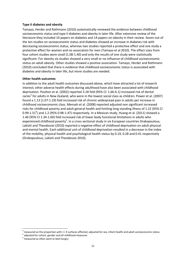#### <span id="page-20-0"></span>**Type II diabetes and obesity**

Tamayo, Herder and Rathmann (2010) systematically reviewed the evidence between childhood socioeconomic status and type II diabetes and obesity in later life. After extensive review of the literature they included 10 papers on diabetes and 14 papers on obesity in their review. Seven out of the ten studies on socioeconomic status and diabetes showed an increase in diabetes risk with decreasing socioeconomic status, whereas two studies reported a protective effect and one study a protective effect for women and no association for men (Tamayo et al 2010). The effect sizes from four cohort studies were small (1.08-1.40) and only the results of one study were statistically significant. For obesity six studies showed a very small or no influence of childhood socioeconomic status on adult obesity. Other studies showed a positive association. Tamayo, Herder and Rathmann (2010) concluded that there is evidence that childhood socioeconomic status is associated with diabetes and obesity in later life, but more studies are needed.

#### <span id="page-20-1"></span>**Other health outcomes**

In addition to the adult health outcomes discussed above, which have attracted a lot of research interest; other adverse health effects during adulthood have also been associated with childhood deprivation. Poulton et al. (2002) reported 3.18 fold (95% CI: 1.66-6.1) increased risk of dental caries<sup>3</sup> for adults in New Zealand, who were in the lowest social class as children. Power et al. (2007) found a 1.13 (1.07-1.19) fold increased risk of chronic widespread pain in adults per increase in childhood socioeconomic class. Mensah et al. (2008) reported adjusted non significant increased risks for childhood poverty and adult general health and limiting long standing illness of 1.22 (95% CI 0.99-1.51<sup>4</sup>) and 1.2 (95% 0.98-1.47) respectively. In a Mexican study, Huang et al. (2011) showed a 1.46 (95% CI 1.34-1.60) fold increased risk of lower body functional limitations in adults who experienced childhood poverty<sup>5</sup>. In a cross sectional study in six European countries Drakopoulous, Lakioti and Theodossio (2010) reported a negative effect of childhood deprivation on adult physical and mental health. Each additional unit of childhood deprivation resulted in a decrease in the index of the mobility, physical health and psychological health status by 0.19, 0.28 and 0.41 respectively (Drakopoulous, Lakioti and Theodossio 2010).

1

 $3$  measured as the proportion with  $>= 4$  surfaces affected, adjusted for sex, infant health and adult socioeconomic status

<sup>&</sup>lt;sup>4</sup> adjusted for cohort, gender and all childhood measures

 $<sup>5</sup>$  measured as often went to bed hungry</sup>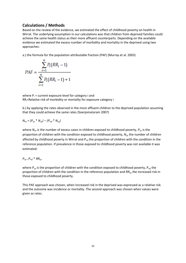## <span id="page-21-0"></span>**Calculations / Methods**

Based on the review of the evidence, we estimated the effect of childhood poverty on health in Wirral. The underlying assumption in our calculations was that children from deprived families could achieve the same health status as their more affluent counterparts. Depending on the available evidence we estimated the excess number of morbidity and mortality in the deprived using two approaches:

a.) the formula for the population attributable fraction (PAF) (Murray et al. 2003)

$$
PAF = \frac{\sum_{i=1}^{n} P_i(RR_i - 1)}{\sum_{i=1}^{n} P_i(RR_i - 1) + 1}
$$

where  $P_i$  = current exposure level for category i and RRi=Relative risk of morbidity or mortality for exposure category i

b.) by applying the rates observed in the more affluent children to the deprived population assuming that they could achieve the same rates (Soerjomataram 2007)

$$
N_{ex} = (P_{cp} * N_{cp}) - (P_{ref} * N_{cp})
$$

where *Nex is* the number of excess cases in children exposed to childhood poverty*, Pcp* is the proportion of children with the condition exposed to childhood poverty, *Ncp* the number of children affected by childhood poverty in Wirral and *Pref* the proportion of children with the condition in the reference population. If prevalence in those exposed to childhood poverty was not available it was estimated:

## $P_{cp} = P_{ref}$  \*  $RR_{cp}$

where *Pcp* is the proportion of children with the condition exposed to childhood poverty, *Pref* the proportion of children with the condition in the reference population and *RRcp* the increased risk in those exposed to childhood poverty.

This PAF approach was chosen, when increased risk in the deprived was expressed as a relative risk and the outcome was incidence or mortality. The second approach was chosen when values were given as rates.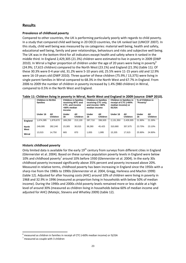## <span id="page-22-0"></span>**Results**

## <span id="page-22-1"></span>**Prevalence of childhood poverty**

Compared to other countries, the UK is performing particularly poorly with regards to child poverty. In a study that compared child well being in 20 OECD countries, the UK ranked last (UNICEF 2007). In this study, child well being was measured by six categories: material well being, health and safety, educational well being, family and peer relationships, behaviours and risks and subjective well being. The UK was in the bottom third for all indicators except health and safety where it ranked in the middle third. In England 2,429,305 (21.3%) children were estimated to live in poverty in 2009 (DWP 2010). In Wirral a higher proportion of children under the age of 20 years were living in poverty<sup>6</sup> (24.9%; 17,615 children) compared to the North West (23.1%) and England (21.3%) (table 11). Of these 30.3% were 0-4 year old, 31.2% were 5-10 years old, 25.5% were 11-15 years old and 12.9% were 16-19 years old (DWP 2010). Three quarter of these children (75.9% / 13,375) were living in single parent families in Wirral compared to 68.3% in the North West and 67.7% in England. From 2006 to 2009 the number of children in poverty increased by 1.4% (980 children) in Wirral, compared to 0.5% in the North West and England.

|                      | <b>Children in IS/JSA</b><br>families |                        | <b>Children in families</b><br>receiving WTC and<br>CTC, and income<br><60% median<br>income |                        | <b>Children in families</b><br>receiving CTC only,<br>and income $<60\%$<br>median income |                        | Children in families in<br>receipt of CTC (<60%<br>median income) or<br><b>IS/JSA</b> |                        | % of Children in<br>"Poverty" |                        |
|----------------------|---------------------------------------|------------------------|----------------------------------------------------------------------------------------------|------------------------|-------------------------------------------------------------------------------------------|------------------------|---------------------------------------------------------------------------------------|------------------------|-------------------------------|------------------------|
|                      | Under 16                              | All<br><b>Children</b> | <b>Under</b><br>16                                                                           | All<br><b>Children</b> | <b>Under</b><br>16                                                                        | All<br><b>Children</b> | Under 16                                                                              | All<br><b>Children</b> | <b>Under</b><br>16            | All<br><b>Children</b> |
| England              | 1.674.395                             | 1.879.670              | 169.250                                                                                      | 213.130                | 287.710                                                                                   | 336.505                | 2.131.350                                                                             | 2.429.305              | 21.90%                        | 21.30%                 |
| <b>North</b><br>West | 249.095                               | 282.240                | 23.305                                                                                       | 30.015                 | 38.280                                                                                    | 45.425                 | 310.680                                                                               | 357.675                | 23.70%                        | 23.10%                 |
| Wirral               | 13.015                                | 14.750                 | 665                                                                                          | 870                    | 1.655                                                                                     | 1.995                  | 15.335                                                                                | 17.615                 | 25.90%                        | 24.90%                 |

#### <span id="page-22-3"></span>**Table 11: Children living in poverty in Wirral, North West and England in 2009 (source: DWP 2010).**

## <span id="page-22-2"></span>**Historic childhood poverty**

Only limited data is available for the early 19<sup>th</sup> century from surveys from different cities in England (Glennerster et al. 2004). Based on these surveys population poverty levels in England were below 10% and childhood poverty<sup>7</sup> around 10% before 1930 (Glennerster et al. 2004). In the early 30s childhood poverty increased significantly above 35% percent and poverty increased above 20%. Measured in relative terms, childhood poverty has been increasing in England since the 1950s with a sharp rise from the 1980s to 1990s (Glennerster et al. 2004, Gregg, Harkness and Machin 1999) (table 12). Adjusted for after housing costs (AHC) around 10% of children were living in poverty in 1968 and 32.9% in 1996 (measured as proportion living in households with below 50% of median income). During the 1990s and 2000s child poverty levels remained more or less stable at a high level of around 30% (measured as children living in households below 60% of median income and adjusted for AHC) (Matejic, Stevens and Whatley 2009) (table 12).

**.** 

 $^6$  measured as children in families in receipt of CTC (<60% median income) or IS/JSA

 $<sup>7</sup>$  measured as couple with 3 children</sup>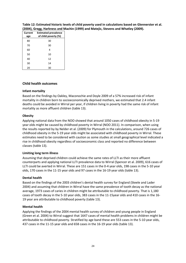| Current<br>age | <b>Estimated prevalence</b><br>of child poverty (%) |
|----------------|-----------------------------------------------------|
| 80             | 30                                                  |
| 70             | 30                                                  |
| 60             | 4                                                   |
| 50             | 10                                                  |
| 40             | 12                                                  |
| 30             | 14                                                  |
| 20             | 30                                                  |

<span id="page-23-6"></span>**Table 12: Estimated historic levels of child poverty used in calculations based on Glennerster et al. (2004), Gregg, Harkness and Machin (1999) and Matejic, Stevens and Whatley (2009).**

#### <span id="page-23-0"></span>**Child health outcomes**

#### <span id="page-23-1"></span>**Infant mortality**

Based on the findings by Oakley, Maconochie and Doyle 2009 of a 57% increased risk of infant mortality in children born to socioeconomically deprived mothers, we estimated that 2.4 infant deaths could be avoided in Wirral per year, if children living in poverty had the same risk of infant mortality as more affluent children (table 13).

#### <span id="page-23-2"></span>**Obesity**

Applying national data from the NOO showed that around 1050 cases of childhood obesity in 5-19 year olds might be caused by childhood poverty in Wirral (NOO 2011). In comparison, when using the results reported by by Nelder et al. (2009) for Plymouth in the calculations, around 726 cases of childhood obesity in the 5-19 year olds might be associated with childhood poverty in Wirral. These estimates need to be considered with caution as some studies at small geographical level indicated a rise in childhood obesity regardless of socioeconomic class and reported no difference between classes (table 13).

#### <span id="page-23-3"></span>**Limiting long term illness**

Assuming that deprived children could achieve the same rates of LLTI as their more affluent counterparts and applying national LLTI prevalence data to Wirral (Spencer et al. 2009), 616 cases of LLTI could be averted in Wirral. These are 151 cases in the 0-4 year olds, 198 cases in the 5-10 year olds, 170 cases in the 11-15 year olds and 97 cases in the 16-19 year olds (table 13).

#### <span id="page-23-4"></span>**Dental health**

Based on the findings of the 2003 children's dental health survey for England (Steele and Lader 2004) and assuming that children in Wirral have the same prevalence of tooth decay as the national average, 1973 cases of caries in children might be attributable to childhood poverty. That is 1,180 cases of tooth decay in the 5-10 year olds, 383 cases in the 11-15year olds and 410 cases in the 16- 19 year are attributable to childhood poverty (table 13).

#### <span id="page-23-5"></span>**Mental health**

Applying the findings of the 2004 mental health survey of children and young people in England (Green et al. 2004) to Wirral suggest that 1647 cases of mental health problems in children might be attributable to childhood poverty. Stratified by age band these are 553 cases in the 5-10 year olds, 437 cases in the 11-15 year olds and 658 cases in the 16-19 year olds (table 13).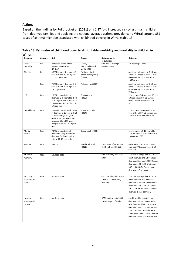#### <span id="page-24-0"></span>**Asthma**

Based on the findings by Ruijbrock et al. (2011) of a 1.27 fold increased risk of asthma in children from deprived families and applying the national average asthma prevalence to Wirral, around 851 cases of asthma might be associated with childhood poverty in Wirral (table 13).

| Outcome                                | Measure | Risk                                                                                                                                                                                       | Source                                          | Data source for<br>calculations                              | Outcome                                                                                                                                                                                                                                       |
|----------------------------------------|---------|--------------------------------------------------------------------------------------------------------------------------------------------------------------------------------------------|-------------------------------------------------|--------------------------------------------------------------|-----------------------------------------------------------------------------------------------------------------------------------------------------------------------------------------------------------------------------------------------|
| Infant<br>mortality                    | PAF     | Increased risk of infant<br>mortality in deprived<br>RR=1.57                                                                                                                               | Oakley,<br>Maconochie and<br>Doyle 2009         | ONS 3 year average<br>mortality data                         | 2.4 deaths per year                                                                                                                                                                                                                           |
| Obesity                                | Rate    | 5.8% higher in deprived 4-5<br>year olds and 10.8% higher<br>in 10-11 year olds                                                                                                            | National obesity<br>observatory (NOO)<br>(2011) |                                                              | Applying estimates to: 0-19 year<br>olds: 1361 cases, 5-15 year olds:<br>804 cases and 5-19 year olds:<br>1050 cases.                                                                                                                         |
|                                        | Rate    | 7.3% higher in deprived 5-6<br>year olds and 4.8% higher in<br>10-11 year olds                                                                                                             | Nelder et al. (2009)                            |                                                              | Applying estimates to: 0-19 year<br>olds: 1116 cases, 5-15 year olds:<br>617 cases and 5-19 year olds:<br>726 cases.                                                                                                                          |
| LLTI                                   | Rate    | 2.8% increased risk in<br>deprived 0-4 year olds, 3.6%<br>in 5-10 year olds, 3.8% in 11-<br>15 year olds and 4.3% in 16-<br>19 year olds                                                   | Spencer et al.<br>(2009)                        |                                                              | Excess cases 0-4 year olds:151, 5-<br>10 year olds: 198, 11-15 year<br>olds: 170 and 16-19 year olds:<br>97.                                                                                                                                  |
| Dental health                          | Rate    | Increased risk of tooth decay<br>in deprived 5-10 year olds of<br>21.5% (average 5-8 year<br>olds), 8.5% 12-15 year olds<br>(average 10 and 15 year<br>olds) and 18% in 16-19 year<br>olds | Steele and Lader<br>(2004)                      |                                                              | Excess cases in deprived 5-10<br>year olds: 1,180, 11-15 year olds<br>383 and 16-19 year olds 410                                                                                                                                             |
| Mental<br>health                       | Rate    | 7.6% increased risk of<br>mental health problems in<br>deprived 5-10 year olds and<br>15% in 11-15 year olds.                                                                              | Green et al. (2004)                             |                                                              | Excess cases in 5-10 year olds:<br>553, 11-16 year olds: 437 and 16-<br>19 year olds 658                                                                                                                                                      |
| Asthma                                 | Rate    | $RR = 1.27$                                                                                                                                                                                | Ruijsbroek et al.<br>(2011)                     | Prevalence of asthma in<br>children from HSE 2004            | 851 excess cases in 0-15 year<br>olds and 978 excess cases 0-19<br>year olds                                                                                                                                                                  |
| All cause<br>mortality                 | Rate    | n.a. local data                                                                                                                                                                            |                                                 | ONS mortality data 2003-<br>2007                             | Five year average deaths: 14.4 in<br>most deprived and 14.8 in least<br>deprived. Rate per 100,000 most<br>deprived: 48.8 (23.6-74.0) rest:<br>30.7 (15.0-46.3). Excess most<br>deprived: 5.3 per year.                                       |
| Mortality<br>accidents and<br>injuries | Rate    | n.a. local data                                                                                                                                                                            |                                                 | ONS mortality data 2003-<br>2007, ICD 10 S00-T98,<br>V01-Y98 | Five year average deaths: 3.2 in<br>most deprived and 4 in least<br>deprived. Rate per 100,000 most<br>deprived: 48.8 (23.6-74.0) rest:<br>30.7 (15.0-46.3). Excess in most<br>deprived 1 case per year.                                      |
| Hospital<br>admission all<br>causes    | Rate    | n.a. local data                                                                                                                                                                            |                                                 | HES inpatient data 2009-<br>2011 analysis of spells          | Significant higher rate in most<br>deprived children compared to<br>rest. Rate per 1000 pop in most<br>deprived male: 114 and female<br>146. Compared to male: 98.6<br>and female: 99.9. Excess spells in<br>deprived male: 246, female: 675. |

<span id="page-24-1"></span>**Table 13: Estimates of childhood poverty attributable morbidity and mortality in children in Wirral.**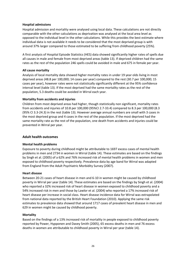#### <span id="page-25-0"></span>**Hospital admissions**

Hospital admission and mortality were analysed using local data. These calculations are not directly comparable with the other calculations as deprivation was analysed at the local area level as opposed to the individual level in the other calculations. While this provides the best estimate where individual data is not available it needs to be considered that the most deprived group is with around 37% larger compared to those estimated to be suffering from childhood poverty (25%).

A first analysis of Hospital Episode Statistics (HES) data showed significantly higher rates of spells due all causes in male and female from most deprived areas (table 13). If deprived children had the same rates as the rest of the population 246 spells could be avoided in male and 675 in female per year.

## <span id="page-25-1"></span>**All cause mortality**

Analysis of local mortality data showed higher mortality rates in under 19 year olds living in most deprived areas (48.8 per 100,000; 14 cases per year) compared to the rest (30.7 per 100,000; 15 cases per year), however rates were not statistically significantly different at the 95% confidence interval level (table 13). If the most deprived had the same mortality rates as the rest of the population, 5.3 deaths could be avoided in Wirral each year.

#### <span id="page-25-2"></span>**Mortality from accidents and injuries**

Children from most deprived areas had higher, though statistically non significant, mortality rates from accidents and injuries of 10.8 per 100,000 (95%CI 2.7-33.4) compared to 8.3 per 100,000 (8.3 (95% CI 3.3-24.3) in the rest (table 13). However average annual numbers are small with 3 cases in the most deprived group and 4 cases in the rest of the population. If the most deprived had the same mortality rate as the rest of the population, one death from accidents and injuries could be prevented in Wirral per year.

## <span id="page-25-3"></span>**Adult health outcomes**

#### <span id="page-25-4"></span>**Mental health problems**

Exposure to poverty during childhood might be attributable to 1697 excess cases of mental health problems in men and 2734 in women in Wirral (table 14). These estimates are based on the findings by Singh et al. (2005) of a 62% and 76% increased risk of mental health problems in women and men exposed to childhood poverty respectively. Prevalence data by age band for Wirral was adapted from England from the Adult Psychiatric Morbidity Survey (2007).

#### <span id="page-25-5"></span>**Heart disease**

Between 20-21 cases of heart disease in men and 6-10 in women might be caused by childhood poverty in Wirral per year (table 14). These estimates are based on the findings by Singh et al. (2004) who reported a 32% increased risk of heart disease in women exposed to childhood poverty and a 54% increased risk in men and those by Lawlor et al. (2004) who reported a 17% increased risk of heart disease per increase in social class. Heart disease incidence data for Wirral was extrapolated from national data reported by the British Heart Foundation (2010). Applying the same risk estimates to prevalence data showed that around 1717 cases of prevalent heart disease in men and 629 in women might be caused by childhood poverty.

#### <span id="page-25-6"></span>**Mortality**

Based on the findings of a 13% increased risk of mortality in people exposed to childhood poverty reported by Power, Hypponen and Davey Smith (2005), 65 excess deaths in men and 76 excess deaths in women are attributable to childhood poverty in Wirral per year (table 14).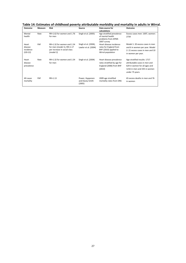<span id="page-26-0"></span>

| Table 14: Estimates of childhood poverty attributable morbidity and mortality in adults in Wirral. |  |  |
|----------------------------------------------------------------------------------------------------|--|--|
|----------------------------------------------------------------------------------------------------|--|--|

| <b>Outcome</b>                              | Measure | <b>Risk</b>                                                                                           | Source                                       | Data source for<br>calculations                                                                 | Outcome                                                                                                                                           |
|---------------------------------------------|---------|-------------------------------------------------------------------------------------------------------|----------------------------------------------|-------------------------------------------------------------------------------------------------|---------------------------------------------------------------------------------------------------------------------------------------------------|
| Mental<br>health                            | Rate    | RR=1.62 for women and 1.76<br>for men                                                                 | Singh et al. (2005)                          | Age stratified prevalence<br>of mental health<br>problems from APMS<br>2007 survey              | Excess cases men: 1697, women:<br>2734                                                                                                            |
| Heart<br>disease<br>incidence<br>$(120-22)$ | PAF     | RR=1.32 for women and 1.54<br>for men (model 1), RR=1.17<br>per increase in social class<br>(model 2) | Singh et al. (2004),<br>Lawlor et al. (2004) | Heart disease incidence<br>rates for England from<br>BHF (2010) applied to<br>Wirral population | Model 1: 20 excess cases in men<br>and 6 in women per year. Model<br>2:21 excess cases in men and 10<br>in women per year.                        |
| Heart<br>disease<br>prevalence              | Rate    | RR=1.32 for women and 1.54<br>for men                                                                 | Singh et al. (2004)                          | Heart disease prevalence<br>rates stratified by age for<br>England (2006) from BHF<br>(2010)    | Age stratified results: 1717<br>attributable cases in men and<br>629 in women for all ages and<br>1216 in men and 335 in women<br>under 75 years. |
| All cause<br>mortality                      | PAF     | $RR = 1.13$                                                                                           | Power, Hypponen<br>and Davey Smith<br>(2005) | 2009 age stratified<br>mortality rates from ONS                                                 | 65 excess deaths in men and 76<br>in women                                                                                                        |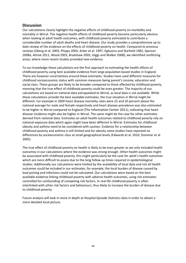## <span id="page-27-0"></span>**Discussion**

Our calculations clearly highlight the negative effects of childhood poverty on morbidity and mortality in Wirral. The negative health effects of childhood poverty become particularly obvious when looking at adult health outcomes, with childhood poverty estimated to contribute a considerable number of adult deaths and heart disease. Our study provides a comprehensive up to date review of the evidence on the effects of childhood poverty on health. Compared to previous reviews (Oberg et al. 2003, Phipps 2003, Arber et al. 1997, Egbuonu and Starfield 1982, Spencer 2008a, Attree 2011, Wood 2003, Bradshaw 2002, Giggs and Walker 2008), we identified conflicting areas, where more recent studies provided new evidence.

To our knowledge these calculations are the first approach to estimating the health effects of childhood poverty using best available evidence from large population based studies in England. There are however uncertainties around these estimates. Studies have used different measures for childhood socioeconomic status with common measures being parent's income, education and social class. These groups are likely to be broader compared to those affected by childhood poverty, meaning that the true effect of childhood poverty could be even greater. The majority of our calculations are based on national data extrapolated to Wirral, as local data is not available. While these calculations provide the best available estimates, the true situation in Wirral might be different. For example in 2009 heart disease mortality rates were 22 and 10 percent above the national average for male and female respectively and heart disease prevalence was also estimated to be higher in Wirral compared to England (The Information Center 2011), indicating that heart disease incidence might also be higher in Wirral. The same might be the case for other estimates derived from national data. Estimates on adult health outcomes related to childhood poverty rely on national exposure data which again might have been different in Wirral. Estimates for childhood obesity and asthma need to be considered with caution. Evidence for a relationship between childhood poverty and asthma is still limited and for obesity some studies have reported no differences by socioeconomic class at small geographical levels (Edwards et al. 2010, Dummer et al. 2005).

The true effect of childhood poverty on health is likely to be even greater as we only included health outcomes in our calculations where the evidence was strong enough. Other health outcomes might be associated with childhood poverty, this might particularly be the case for adult's health outcomes which are more difficult to assess due to the long follow up times required in epidemiological studies. Additionally our calculations were limited by the availability of local data and not all health outcomes could be included in our estimates, for example, the local burden of disease caused by lead poising and infections could not be calculated. Our calculations were based on the best available evidence linking childhood poverty with adverse health outcomes, using risk estimates controlled for confounding of competing risk factors. In real life childhood poverty is often interlinked with other risk factors and behaviours, thus likely to increase the burden of disease due to childhood poverty.

Future analysis will look in more in depth at Hospital Episode Statistics data in order to obtain a more detailed local picture.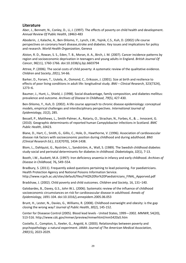## <span id="page-28-0"></span>**Literature**

Aber, J., Bennett, N., Conley, D., Li, J. (1997). The effects of poverty on child health and development. *Annual Review Of Public Health*, *18*463-483

Aboderin, .I, Kalache, A., Ben-Shlomo, Y., Lynch, J.W., Yajnik, C.S., Kuh, D. (2002) Life course perspectives on coronary heart disease,stroke and diabetes. Key issues and implications for policy and research. *World Health Organization*, Geneva

Alston, R. D., Rowan, S. S., Eden, T. B., Moran, A. A., Birch, J. M. (2007). Cancer incidence patterns by region and socioeconomic deprivation in teenagers and young adults in England. *British Journal Of Cancer*, *96*(11), 1760-1766. doi:10.1038/sj.bjc.6603794

Attree, P. (2006). The social costs of child poverty: A systematic review of the qualitative evidence. *Children and Society*, *20*(1), 54-66.

Barker, D., Forsen, T., Uutela, A., Osmond, C., Eriksson, J. (2001). Size at birth and resilience to effects of poor living conditions in adult life: longitudinal study. *BMJ – Clinical Research*, 323(7324), 1273–6.

Baumer, J., Hunt, L., Shield, J. (1998). Social disadvantage, family composition, and diabetes mellitus: prevalence and outcome. *Archives of Disease In Childhood*, *79*(5), 427-430.

Ben-Shlomo, Y., Kuh, D. (2002). A life course approach to chronic disease epidemiology: conceptual models, empirical challenges and interdisciplinary perspectives. *International Journal of Epidemiology*, *31*(2), 285.

Bessell, P., Matthews, L., Smith-Palmer, A., Rotariu, O., Strachan, N., Forbes, K., & ... Innocent, G. (2010). Geographic determinants of reported human Campylobacter infections in Scotland. *BMC Public Health*, *10*423.

Blane, D., Hart, C., Smith, G., Gillis, C., Hole, D., Hawthorne, V. (1996). Association of cardiovascular disease risk factors with socioeconomic position during childhood and during adulthood. *BMJ (Clinical Research Ed.)*, *313*(7070), 1434-1438.

Blom, L., Dahlquist, G., Nyström, L., Sandström, A., Wall, S. (1989). The Swedish childhood diabetes study-social and perinatal determinants for diabetes in childhood. *Diabetologia*, *32*(1), 7-13.

Booth, I.W., Auckett, M.A. (1997): Iron deficiency anaemia in infancy and early childhood. *Archives of Disease in Childhood,* 76**,** 549–554.

Bradbury, S. (2011). Frequently asked questions pertaining to lead poisoning. For paediatricians. Health Protection Agency and National Poisons Information Service. http://www.rcpch.ac.uk/sites/default/files/FAQ%20for%20Paediatricians\_FINAL\_Apporved.pdf

Bradshaw, J. (2002). Child poverty and child outcomes. *Children and Society,* 16, 131–140.

Galobardes, B., Davey, G.S., John W.L. (2006). Systematic review of the influence of childhood socioeconomic circumstances on risk for cardiovascular disease in adulthood. *Annals of Epidemiology*, *16*91-104. doi:10.1016/j.annepidem.2005.06.053

Brunt, H., Lester, N., Davies, G., Williams, R. (2008). Childhood overweight and obesity: is the gap closing the wrong way? *Journal of Public Health*, *30*(2), 145-152.

Center for Diseaese Control (2005). Blood lead levels - United States, 1999—2002. *MMWR*, 54(20), 513-516. http://www.cdc.gov/mmwr/preview/mmwrhtml/mm5420a5.htm

Costello, E., Compton, S., Keeler, G., Angold, A. (2003). Relationships between poverty and psychopathology: a natural experiment. *JAMA: Journal of The American Medical Association*, *290*(15), 2023-2029.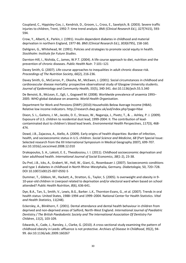Coupland, C., Hippisley-Cox, J., Kendrick, D., Groom, L., Cross, E., Savelyich, B. (2003). Severe traffic injuries to children, Trent, 1992-7: time trend analysis. *BMJ (Clinical Research Ed.)*, *327*(7415), 593- 594.

Crow, Y., Alberti, K., Parkin, J. (1991). Insulin dependent diabetes in childhood and material deprivation in northern England, 1977-86. *BMJ (Clinical Research Ed.)*, *303*(6795), 158-160.

Dahlgren, G., Whitehead, M. (1991). Policies and strategies to promote social equity in health. *Stockholm: Institute for Future Studies*.

Darnton-Hill, I., Nishida, C., James, W.P.T. (2004). A life course approach to diet, nutrition and the prevention of chronic diseases. *Public Health Nutr.* 7:101–121

Davey Smith, G. (2007). Life-course approaches to inequalities in adult chronic disease risk. *Proceedings of The Nutrition Society*, *66*(2), 216-236.

Davey Smith, G., McCarron, P., Okasha, M., McEwen, J. (2001). Social circumstances in childhood and cardiovascular disease mortality: prospective observational study of Glasgow University students. *Journal of Epidemiology and Community Health*, *55*(5), 340-341. doi:10.1136/jech.55.5.340

De Benoist, B., McLean, E., Egli, I., Gogswell M. (2008). Worldwide prevalence of anaemia 1993– 2005: WHO global database on anaemia. *World Health Organisation*.

Department for Work and Pensions (DWP) (2010) Households Below Average Income (HBAI). Relative low income indicators. http://research.dwp.gov.uk/asd/index.php?page=hbai

Dixon, S. L., Gaitens, J. M., Jacobs, D. E., Strauss, W., Nagaraja, J., Pivetz, T., & ... Ashley, P. J. (2009). Exposure of U.S. children to residential dust lead, 1999-2004: II. The contribution of leadcontaminated dust to children's blood lead levels. *Environmental Health Perspectives*, *117*(3), 468- 474.

Dowd, J.B., Zajacova, A., Aiello, A. (2009). Early origins of health disparities: Burden of infection, health, and socioeconomic status in U.S. children. *Social Science and Medicine*, *68* (Part Special Issue: Selected research from the XII International Symposium in Medical Geography 2007), 699-707. doi:10.1016/j.socscimed.2008.12.010

Drakopoulos, S. A., Lakioti, E. E., Theodossiou, I. I. (2011). Childhood socioeconomic deprivation and later adulthood health. *International Journal of Social Economics*, *38*(1-2), 23-38.

Du Prel, J.B., Icks, A., Grabert, M., Holl, W., Giani, G., Rosenbauer J. (2007). Socioeconomic conditions and type 1 diabetes in childhood in North Rhine–Westphalia, Germany. *Diabetologia*, 50, 720–728. DOI 10.1007/s00125-007-0592-5

Dummer, T., Gibbon, M., Hackett, A., Stratton, G., Taylor, S. (2005). Is overweight and obesity in 9- 10-year-old children in Liverpool related to deprivation and/or electoral ward when based on school attended? *Public Health Nutrition*, *8*(6), 636-641.

Dye, B.A., Tan, S., Smith, V., Lewis, B.G., Barker. L.K., Thornton-Evans, G., et al. (2007). Trends in oral health status: United States, 1988–1994 and 1999–2004. National Center for Health Statistics. *Vital and Health Statistics,* 11(248).

Eckersley, A., Blinkhorn, F. (2001). Dental attendance and dental health behaviour in children from deprived and non-deprived areas of Salford, North-West England. *International Journal of Paediatric Dentistry / The British Paedodontic Society and The International Association Of Dentistry For Children*, *11*(2), 103-109.

Edwards, K., Cade, J., Ransley, J., Clarke, G. (2010). A cross-sectional study examining the pattern of childhood obesity in Leeds: affluence is not protective. *Archives of Disease In Childhood*, *95*(2), 94- 99. doi:10.1136/adc.2009.160267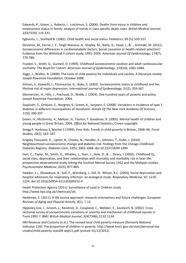Edwards, P., Green, J., Roberts, I., Lutchmun, S. (2006). Deaths from injury in children and employment status in family: analysis of trends in class specific death rates. *British Medical Journal*, *333*(7559), 119-121.

Egbuonu, L., Starfield B. (1982). Child health and social status. Pediatrics, 69 (5). 550-557.

Elovainio, M., Ferrie, J. E., Singh-Manoux, A., Shipley, M., Batty, G., Head, J., & ... Kivimäki, M. (2011). Socioeconomic differences in cardiometabolic factors: Social causation or health-related selection? Evidence from the Whitehall II cohort study, 1991–2004. *American Journal Of Epidemiology*, *174*(7), 779-789.

Frankel, S., Smith, G., Gunnell, D. (1999). Childhood socioeconomic position and adult cardiovascular mortality: The Boyd Orr Cohort. *American Journal of Epidemiology*, *150*(10), 1081-1084.

Giggs, J., Walker, R. (2008): The costs of child poverty for individuals and society. A literature review. *Joseph Rowntree Foundation*, October 2008.

Gilman, S., Kawachi, I., Fitzmaurice, G., Buka, S. (2002). Socioeconomic status in childhood and the lifetime risk of major depression. *International Journal of Epidemiology*, *31*(2), 359-367.

Glennerster, H., Hills, J., Piachaud, D., Webb, J. (2004). One hundred years of poverty and policy. Joseph Rowntree Foundation, 2004.

Gopinath, S., Ortqvist, E., Norgren, S., Green, A., Sanjeevi, C. (2008). Variations in incidence of type 1 diabetes in different municipalities of Stockholm. *Annals Of The New York Academy Of Sciences*, *1150,* 200-207.

Green, H., McGinnity, A., Meltzer, H., Tasmin, F. Goodman, R. (2005). Mental health of children and young people in Great Britain, 2004. *Office for National Statistics*, Crown copyright.

Gregg P, Harkness S, Machin S (1999). Poor Kids: Trends in child poverty in Britain, 1968–96. *Fiscal Studies, 20(2)*, 163–187.

Grigsby-Toussaint, D., Lipton, R., Chavez, N., Handler, A., Johnson, T., Kubo, J. (2010). Neighbourhood socioeconomic change and diabetes risk: findings from the Chicago Childhood Diabetes Registry. *Diabetes Care*, *33*(5), 1065-1068. doi:10.2337/dc09-1894

Hart, C., Taylor, M., Smith, G., Whalley, L., Starr, J., Hole, D., & ... Deary, I. (2003). Childhood IQ, social class, deprivation, and their relationships with mortality and morbidity risk in later life: prospective observational study linking the Scottish Mental Survey 1932 and the Midspan studies. *Psychosomatic Medicine*, *65*(5), 877-883.

Hawker, J.I., Olowokure, B., Sufi, F., Weinberg, J., Gill, N., Wilson, R.C. (2003). Social deprivation and hospital admission for respiratory infection: an ecological study. *Respiratory Medicine*, *97,* 1219- 1224. doi:10.1016/S0954-6111(03)00252-X

Heath Protection Agency (2011). Surveillance of Lead in Children study. <http://www.hpa.org.uk/chemicals/slic>

Heikkinen, E. (2011). A life course approach: research orientations and future challenges. *European Reviews of Aging and Physical Activity*, *8*(1), 7-12.

Hippisley-Cox, J., Groom, L., Kendrick, D., Coupland, C., Webber, E., Savelyich, B. (2002). Cross sectional survey of socioeconomic variations in severity and mechanism of childhood injuries in Trent 1992-7. *BMJ: British Medical Journal*, *324*(7346), 1132-1134.

HM Revenue and Customs (n.d.): The revised local child poverty measure (formerly National Indicator 116): The proportion of children in poverty. [http://www.hmrc.gov.uk/stats/personal-tax](http://www.hmrc.gov.uk/stats/personal-tax-credits/child-poverty-stats09-sept11.pdf)[credits/child-poverty-stats09-sept11.pdf](http://www.hmrc.gov.uk/stats/personal-tax-credits/child-poverty-stats09-sept11.pdf) (visited: 01/12/2011)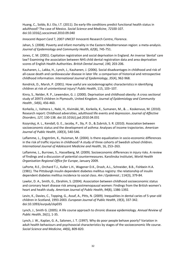Huang, C., Soldo, B.J. Elo, I.T. (2011). Do early-life conditions predict functional health status in adulthood? The case of Mexico. *Social Science and Medicine*, *72*100-107. doi:10.1016/j.socscimed.2010.09.040

*Innocenti Report Card* 7, 2007 UNICEF Innocenti Research Centre, Florence.

Jahan, S. (2008). Poverty and infant mortality in the Eastern Mediterranean region: a meta-analysis. *Journal of Epidemiology and Community Health*, *62*(8), 745-751.

Jones, C. M. (2001). Capitation registration and social deprivation in England. An inverse 'dental' care law? Examining the association between NHS child dental registration data and area deprivation scores of English Health Authorities. *British Dental Journal*, *190,* 203-206.

Kauhanen, L., Lakka, H., Lynch, J., Kauhanen, J. (2006). Social disadvantages in childhood and risk of all-cause death and cardiovascular disease in later life: a comparison of historical and retrospective childhood information. *International Journal of Epidemiology*, *35*(4), 962-968.

Kendrick, D., Marsh, P. (2001). How useful are sociodemographic characteristics in identifying children at risk of unintentional injury? *Public Health*, 115, 103–107.

Kinra, S., Nelder, R. P., Lewendon, G. J. (2000). Deprivation and childhood obesity: A cross sectional study of 20973 children in Plymouth, United Kingdom. *Journal of Epidemiology and Community Health* , *54*(6), 456-460.

Korkeila, J., Vahtera J., Nabi, H., Kivimäki, M., Korkeila, K., Sumanen, M., & ... Koskenvuo, M. (2010). Research report: Childhood adversities, adulthood life events and depression. *Journal of Affective Disorders*, *127,* 130-138. doi:10.1016/j.jad.2010.04.031

Kozyrskyj, A. L., Kendall, G. E., Jacoby, P., Sly, P. D., & Zubrick, S. R. (2010). Association between socioeconomic status and the development of asthma: Analyses of income trajectories. *American Journal of Public Health*, *100*(3), 540-546.

Laflamme, L., Engström, K., Huisman, M. (2004). Is there equalization in socio-economic differences in the risk of traffic injuries in childhood? A study of three cohorts of Swedish school children. *International Journal of Adolescent Medicine and Health*, 16, 253–263.

Laflamme, L., Burrows, S., Hasselberg, M. (2009). Socioeconomic differences in injury risks. A review of findings and a discussion of potential countermeasures. Karolinska Institutet, *World Health Organisation Regional Office for Europe*, January 2009.

[LaPorte, R.E.](http://www.ncbi.nlm.nih.gov/pubmed?term=%22LaPorte%20RE%22%5BAuthor%5D)[, Orchard T.J.](http://www.ncbi.nlm.nih.gov/pubmed?term=%22Orchard%20TJ%22%5BAuthor%5D), [Kuller L.H.](http://www.ncbi.nlm.nih.gov/pubmed?term=%22Kuller%20LH%22%5BAuthor%5D), [Wagener D.K.](http://www.ncbi.nlm.nih.gov/pubmed?term=%22Wagener%20DK%22%5BAuthor%5D)[, Drash,](http://www.ncbi.nlm.nih.gov/pubmed?term=%22Drash%20AL%22%5BAuthor%5D) A.L.[, Schneider,](http://www.ncbi.nlm.nih.gov/pubmed?term=%22Schneider%20BB%22%5BAuthor%5D) B.B., [Fishbein H.A.](http://www.ncbi.nlm.nih.gov/pubmed?term=%22Fishbein%20HA%22%5BAuthor%5D) (1981). The Pittsburgh insulin dependent diabetes mellitus registry: the relationship of insulin dependent diabetes mellitus incidence to social class. *[Am J Epidemiol.](http://www.ncbi.nlm.nih.gov/pubmed/7304573)*; 114(3), 379-84.

Lawlor, D. A., Smith, G., Ebrahim, S. (2004). Association between childhood socioeconomic status and coronary heart disease risk among postmenopausal women: Findings from the British women's heart and health study. *American Journal of Public Health*, *94*(8), 1386-1392.

Levin, K., Davies, C., Topping, G., Assaf, A., Pitts, N. (2009). Inequalities in dental caries of 5-year-old children in Scotland, 1993-2003. *European Journal of Public Health*, *19*(3), 337-342. doi:10.1093/eurpub/ckp035

Lynch, J., Smith G. (2005). A life course approach to chronic disease epidemiology. *Annual Review of Public Health*, 26(1), 1-35.

Lynch, J. W., Kaplan, G. A., Salonen, J. T. (1997). Why do poor people behave poorly? Variation in adult health behaviours and psychosocial characteristics by stages of the socioeconomic life course. *Social Science and Medicine*, *44*(6), 809-820.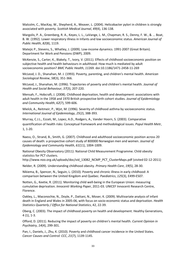Malcolm, C., MacKay, W., Shepherd, A., Weaver, L. (2004). Helicobacter pylori in children is strongly associated with poverty. *Scottish Medical Journal*, *49*(4), 136-138.

Margolis, P. A., Greenberg, R. A., Keyes, L. L., LaVange, L. M., Chapman, R. S., Denny, F. W., & ... Boat, B. W. (1992). Lower respiratory illness in Infants and low socioeconomic status. *American Journal of Public Health*, *82*(8), 1119.

Matejic P., Stevens, S., Whatley, J. (2009). Low-income dynamics. 1991-2007 (Great Britain). Department for Work and Pensions (DWP), 2009.

McKenzie, S., Carter, K., Blakely, T., Ivory, V. (2011). Effects of childhood socioeconomic position on subjective health and health behaviours in adulthood: How much is mediated by adult socioeconomic position? *BMC Public Health*, *11*269. doi:10.1186/1471-2458-11-269

McLeod, J. D., Shanahan, M. J. (1993). Poverty, parenting, and children's mental health. *American Sociological Review*, *58*(3), 351-366.

McLeod, J., Shanahan, M. (1996). Trajectories of poverty and children's mental health. *Journal of Health and Social Behaviour*, *37*(3), 207-220.

Mensah, F., Hobcraft, J. (2008). Childhood deprivation, health and development: associations with adult health in the 1958 and 1970 British prospective birth cohort studies. *Journal of Epidemiology and Community Health*, *62*(7), 599-606.

Mielck, A., Reitmeir, P., Wjst, M. (1996). Severity of childhood asthma by socioeconomic status. *International Journal of Epidemiology*, *25*(2), 388-393.

Murray, C.J.L., Ezzati, M., Lopez, A.D., Rodgers, A., Vander Hoorn, S. (2003). Comparative quantification of health risks: Conceptual framework and methodological issues. *Popul Health Metr*, 1, 1-20.

Naess, O., Strand, B., Smith, G. (2007). Childhood and adulthood socioeconomic position across 20 causes of death: a prospective cohort study of 800000 Norwegian men and women. *Journal of Epidemiology and Community Health*, *61*(11), 1004-1009.

National Obesity Observatory (2011): National Child Measurement Programme. Child obesity statistics for PCT clusters.

[http://www.noo.org.uk/uploads/doc/vid\\_13082\\_NCMP\\_PCT\\_ClusterMaps.pdf](http://www.noo.org.uk/uploads/doc/vid_13082_NCMP_PCT_ClusterMaps.pdf) (visited 02-12-2011)

Nelder, R. (2009). Understanding childhood obesity. *Primary Health Care*, *19*(5), 28-30.

Nikiema, B., Spencer, N., Seguin, L. (2010). Poverty and chronic illness in early childhood: A comparison between the United Kingdom and Quebec. *Paediatrics*, *125*(3), E499-E507.

Notten, G., Keetie, R. (2011). Monitoring child well-being in the European Union: measuring cumulative deprivation. *Innocenti Working Paper*, 2011-03. UNICEF Innocenti Research Centre, Florence.

Oakley, L., Maconochie, N., Doyle, P., Dattani, N., Moser, K. (2009). Multivariate analysis of infant death in England and Wales in 2005-06, with focus on socio-economic status and deprivation. *Health Statistics Quarterly / Office for National Statistics*, 42, 22-39.

Oberg, C. (2003). The impact of childhood poverty on health and development. Healthy Generations, 4 (1), 1-3.

Offord, D. (2011). Reducing the impact of poverty on children's mental health. *Current Opinion in Psychiatry*, *14*(4), 299-301.

Pan, I., Daniels, J., Zhu, K. (2010). Poverty and childhood cancer incidence in the United States. *Cancer Causes and Control: CCC*, *21*(7), 1139-1145.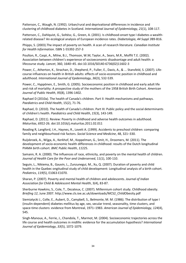Patterson, C., Waugh, N. (1992). Urban/rural and deprivational differences in incidence and clustering of childhood diabetes in Scotland. *International Journal of Epidemiology*, *21*(1), 108-117.

Patterson, C., Dahlquist, G., Soltész, G., Green, A. (2001). Is childhood-onset type I diabetes a wealthrelated disease? An ecological analysis of European incidence rates. *Diabetologia*, *44 Suppl 3*B9-B16.

Phipps, S. (2003).The impact of poverty on health. A scan of research literature. *Canadian Institute for Health Information*. ISBN 1-55392-257-3

Poulton, R., Caspi, A., Milne, B.J., Thomson, W.M, Taylor, A., Sears, M.R., Moffit T.E. (2002). Association between children's experience of socioeconomic disadvantage and adult health: a lifecourse study. *Lancet*, 360, 1640–45. doi:10.1016/S0140-6736(02)11602-3

Power, C., Atherton, K., Strachan, D., Shepherd, P., Fuller, E., Davis, A., & ... Stansfeld, S. (2007). Lifecourse influences on health in British adults: effects of socio-economic position in childhood and adulthood. *International Journal of Epidemiology*, *36*(3), 532-539.

Power, C., Hyppönen, E., Smith, G. (2005). Socioeconomic position in childhood and early adult life and risk of mortality: A prospective study of the mothers of the 1958 British Birth Cohort. *American Journal of Public Health*, *95*(8), 1396-1402.

Raphael D (2010a). The health of Canada's children. Part II: Health mechanisms and pathways. *Paediatrics and Child Health*, 15(2), 71-76.

Raphael, D. (2010). The health of Canada's children. Part III: Public policy and the social determinants of children's health. *Paediatrics and Child Health*, *15*(3), 143-149.

Raphael, D. (2011). Review: Poverty in childhood and adverse health outcomes in adulthood. *Maturitas*, *69*22-26. doi:10.1016/j.maturitas.2011.02.011

Reading R[, Langford, I.H.](http://www.ncbi.nlm.nih.gov/pubmed?term=%22Langford%20IH%22%5BAuthor%5D), [Haynes, R.](http://www.ncbi.nlm.nih.gov/pubmed?term=%22Haynes%20R%22%5BAuthor%5D), [Lovett A.](http://www.ncbi.nlm.nih.gov/pubmed?term=%22Lovett%20A%22%5BAuthor%5D) (1999). Accidents to preschool children: comparing family and neighbourhood risk factors. *Social Science and Medicine*, 48, 321–330.

Ruijsbroek, A., Wijga, A., Kerkhof, M., Koppelman, G., Smit, H., Droomers, M. (2011). The development of socio-economic health differences in childhood: results of the Dutch longitudinal PIAMA birth cohort. *BMC Public Health*, *11*225.

Samann, R. A. (2000). The Influences of race, ethnicity, and poverty on the mental health of children. *Journal of Health Care for the Poor and Underserved*, 11(1), 100-110.

Seguin, L., Nikiema, B., Gauvin, L., Zunzunegui, M., Xu, Q. (2007). Duration of poverty and child health in the Quebec ongitudinal study of child development: Longitudinal analysis of a birth cohort. *Pediatrics*, *119*(5), E1063-E1070.

Sharan, P. (2007). Poverty and mental health of children and adolescents. *Journal of Indian Association for Child & Adolescent Mental Health*, 3(4), 83-87.

Sherburne Hawkins, S., Cole, T., Dezateux, C. (2007). Millennium cohort study. Childhood obesity. *Briefing 12*, June 2007. [http://www.cls.ioe.ac.uk/downloads/MCS2\\_ChildObesity.pdf](http://www.cls.ioe.ac.uk/downloads/MCS2_ChildObesity.pdf)

Siemiatycki J., Colle, E., Aubert, D., Campbell, S., Belmonte, M. M. (1986). [The distribution of type I](http://aje.oxfordjournals.org/content/124/4/545.short)  [\(insulin-dependent\) diabetes mellitus by age, sex, secular trend, seasonality, time clusters, and](http://aje.oxfordjournals.org/content/124/4/545.short)  [space-time clusters: evidence from Montreal,](http://aje.oxfordjournals.org/content/124/4/545.short) 1971–1983. *American Journal of Epidemiology*, *124*(4), 545.

Singh-Manoux, A., Ferrie, J., Chandola, T., Marmot, M. (2004). Socioeconomic trajectories across the life course and health outcomes in midlife: evidence for the accumulation hypothesis? *International Journal of Epidemiology*, *33*(5), 1072-1079.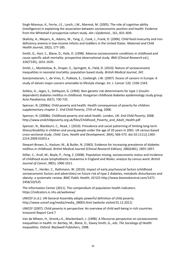Singh-Manoux, A., Ferrie, J.E., Lynch, J.W., Marmot, M. (2005). The role of cognitive ability (intelligence) in explaining the association between socioeconomic position and health: Evidence from the Whitehall II prospective cohort study. *Am J Epidemiol.*, 161, 831–839.

Skalicky, A., Meyers, A., Adams, W., Yang, Z., Cook, J., Frank, D. (2006). Child food insecurity and iron deficiency anemia in low-income infants and toddlers in the United States. *Maternal and Child Health Journal*, *10*(2), 177-185.

Smith, G., Hart, C., Blane, D., Hole, D. (1998). Adverse socioeconomic conditions in childhood and cause specific adult mortality: prospective observational study. *BMJ (Clinical Research ed.)*, *316*(7145), 1631-1635.

Smith, L., Manktelow, B., Draper, E., Springett, A., Field, D. (2010). Nature of socioeconomic inequalities in neonatal mortality: population based study. *British Medical Journal*, *341*

Soerjomataram, I., de Vries, E., Pukkala, E., Coebergh. J.W. (2007). Excess of cancers in Europe: A study of eleven major cancers amenable to lifestyle change. Int. J. Cancer 120, 1336-1343.

Soltész, G., Jeges, S., Dahlquist, G. (1994). Non-genetic risk determinants for type 1 (insulindependent) diabetes mellitus in childhood. Hungarian childhood diabetes epidemiology study group. *Acta Paediatrica*, *83*(7), 730-735.

Spencer, N. (2008a): Child poverty and health. Health consequences of poverty for children. supplementary chapter 2 . *End Child Poverty*, 27th of Aug, 2008.

Spencer, N. (2008b). Childhood poverty and adult health. London, UK: *End Child Poverty*; 2008. [http://www.endchildpoverty.org.uk/files/Childhood\\_Poverty\\_and\\_Adult\\_Health.pdf](http://www.endchildpoverty.org.uk/files/Childhood_Poverty_and_Adult_Health.pdf)

Spencer, N., Blackburn, C., Read, J. (2010). Prevalence and social patterning of limiting long-term illness/disability in children and young people under the age of 20 years in 2001: UK census-based cross-sectional study. *Child: Care, Health and Development*, *36*(4), 566-573. doi:10.1111/j.1365- 2214.2009.01053.x

Stewart-Brown, S., Haslum, M., & Butler, N. (1983). Evidence for increasing prevalence of diabetes mellitus in childhood. *British Medical Journal (Clinical Research Edition)*, *286*(6381), 1855-1857.

Stiller, C., Kroll, M., Boyle, P., Feng, Z. (2008). Population mixing, socioeconomic status and incidence of childhood acute lymphoblastic leukaemia in England and Wales: analysis by census ward. *British Journal of Cancer*, *98*(5), 1006-1011.

Tamayo, T., Herder, C., Rathmann, W. (2010). Impact of early psychosocial factors (childhood socioeconomic factors and adversities) on future risk of type 2 diabetes, metabolic disturbances and obesity: a systematic review. *BMC Public Health, 10*:525 [http://www.biomedcentral.com/1471-](http://www.biomedcentral.com/1471-2458/10/525) [2458/10/525](http://www.biomedcentral.com/1471-2458/10/525)

The Information Center (2011). The compendium of population health indicators. https://indicators.ic.nhs.uk/webview/

UNICEF (n.d.). UN General Assembly adopts powerful definition of child poverty. [http://www.unicef.org/media/media\\_38003.html](http://www.unicef.org/media/media_38003.html) (website visited 01.12.2011)

UNICEF (2007). Child poverty in perspective: An overview of child well-being in rich countries. Innocenti Report Card 7

Van de Mheen, H., Stronk,s K., Mackenbach, J. (1998). A lifecourse perspective on socioeconomic inequalities in health. In: Bartley, M., Blane, D., Davey Smith, G., eds. *The Sociology of Health Inequalities.* Oxford: Blackwell Publishers, 1998.